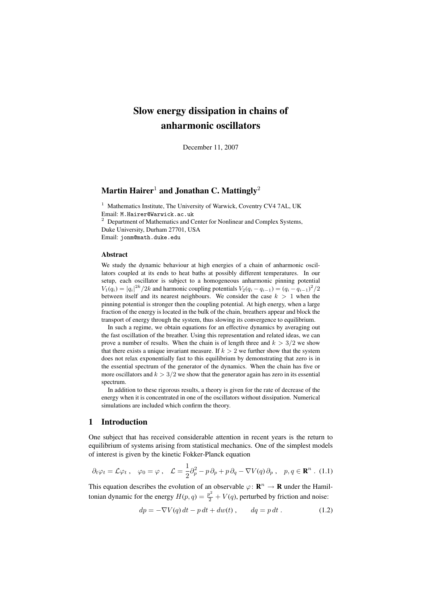## Slow energy dissipation in chains of anharmonic oscillators

December 11, 2007

# Martin Hairer<sup>1</sup> and Jonathan C. Mattingly<sup>2</sup>

<sup>1</sup> Mathematics Institute, The University of Warwick, Coventry CV4 7AL, UK Email: M.Hairer@Warwick.ac.uk <sup>2</sup> Department of Mathematics and Center for Nonlinear and Complex Systems,

Duke University, Durham 27701, USA Email: jonm@math.duke.edu

#### Abstract

We study the dynamic behaviour at high energies of a chain of anharmonic oscillators coupled at its ends to heat baths at possibly different temperatures. In our setup, each oscillator is subject to a homogeneous anharmonic pinning potential  $V_1(q_i) = |q_i|^{2k} / 2k$  and harmonic coupling potentials  $V_2(q_i - q_{i-1}) = (q_i - q_{i-1})^2 / 2k$ between itself and its nearest neighbours. We consider the case  $k > 1$  when the pinning potential is stronger then the coupling potential. At high energy, when a large fraction of the energy is located in the bulk of the chain, breathers appear and block the transport of energy through the system, thus slowing its convergence to equilibrium.

In such a regime, we obtain equations for an effective dynamics by averaging out the fast oscillation of the breather. Using this representation and related ideas, we can prove a number of results. When the chain is of length three and  $k > 3/2$  we show that there exists a unique invariant measure. If  $k > 2$  we further show that the system does not relax exponentially fast to this equilibrium by demonstrating that zero is in the essential spectrum of the generator of the dynamics. When the chain has five or more oscillators and  $k > 3/2$  we show that the generator again has zero in its essential spectrum.

In addition to these rigorous results, a theory is given for the rate of decrease of the energy when it is concentrated in one of the oscillators without dissipation. Numerical simulations are included which confirm the theory.

## 1 Introduction

One subject that has received considerable attention in recent years is the return to equilibrium of systems arising from statistical mechanics. One of the simplest models of interest is given by the kinetic Fokker-Planck equation

$$
\partial_t \varphi_t = \mathcal{L} \varphi_t \ , \quad \varphi_0 = \varphi \ , \quad \mathcal{L} = \frac{1}{2} \partial_p^2 - p \, \partial_p + p \, \partial_q - \nabla V(q) \, \partial_p \ , \quad p, q \in \mathbb{R}^n \ . \tag{1.1}
$$

This equation describes the evolution of an observable  $\varphi \colon \mathbf{R}^n \to \mathbf{R}$  under the Hamiltonian dynamic for the energy  $H(p,q) = \frac{p^2}{2} + V(q)$ , perturbed by friction and noise:

$$
dp = -\nabla V(q) dt - p dt + dw(t) , \qquad dq = p dt . \qquad (1.2)
$$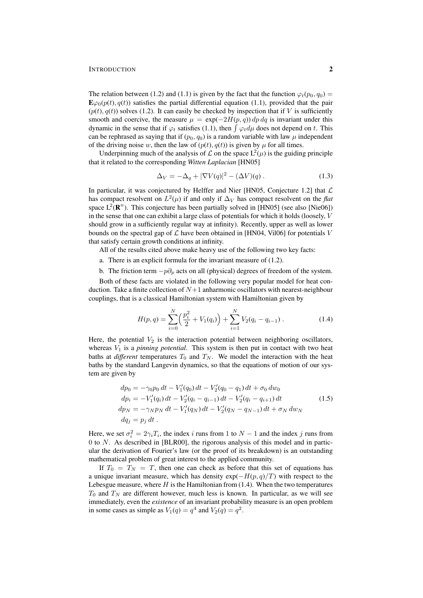#### **INTRODUCTION** 2

The relation between (1.2) and (1.1) is given by the fact that the function  $\varphi_t(p_0, q_0)$  =  $\mathbf{E}\varphi_0(p(t), q(t))$  satisfies the partial differential equation (1.1), provided that the pair  $(p(t), q(t))$  solves (1.2). It can easily be checked by inspection that if V is sufficiently smooth and coercive, the measure  $\mu = \exp(-2H(p, q)) dp dq$  is invariant under this dynamic in the sense that if  $\varphi_t$  satisfies (1.1), then  $\int \varphi_t d\mu$  does not depend on t. This can be rephrased as saying that if  $(p_0, q_0)$  is a random variable with law  $\mu$  independent of the driving noise w, then the law of  $(p(t), q(t))$  is given by  $\mu$  for all times.

Underpinning much of the analysis of  $\mathcal L$  on the space  $L^2(\mu)$  is the guiding principle that it related to the corresponding *Witten Laplacian* [HN05]

$$
\Delta_V = -\Delta_q + |\nabla V(q)|^2 - (\Delta V)(q) . \qquad (1.3)
$$

In particular, it was conjectured by Helffer and Nier [HN05, Conjecture 1.2] that  $\mathcal L$ has compact resolvent on  $L^2(\mu)$  if and only if  $\Delta_V$  has compact resolvent on the *flat* space  $L^2(\mathbf{R}^n)$ . This conjecture has been partially solved in [HN05] (see also [Nie06]) in the sense that one can exhibit a large class of potentials for which it holds (loosely, V should grow in a sufficiently regular way at infinity). Recently, upper as well as lower bounds on the spectral gap of  $\mathcal L$  have been obtained in [HN04, Vil06] for potentials V that satisfy certain growth conditions at infinity.

All of the results cited above make heavy use of the following two key facts:

- a. There is an explicit formula for the invariant measure of (1.2).
- b. The friction term  $-p\partial_p$  acts on all (physical) degrees of freedom of the system.

Both of these facts are violated in the following very popular model for heat conduction. Take a finite collection of  $N+1$  anharmonic oscillators with nearest-neighbour couplings, that is a classical Hamiltonian system with Hamiltonian given by

$$
H(p,q) = \sum_{i=0}^{N} \left( \frac{p_i^2}{2} + V_1(q_i) \right) + \sum_{i=1}^{N} V_2(q_i - q_{i-1}). \tag{1.4}
$$

Here, the potential  $V_2$  is the interaction potential between neighboring oscillators, whereas  $V_1$  is a *pinning potential*. This system is then put in contact with two heat baths at *different* temperatures  $T_0$  and  $T_N$ . We model the interaction with the heat baths by the standard Langevin dynamics, so that the equations of motion of our system are given by

$$
dp_0 = -\gamma_0 p_0 dt - V'_1(q_0) dt - V'_2(q_0 - q_1) dt + \sigma_0 dw_0
$$
  
\n
$$
dp_i = -V'_1(q_i) dt - V'_2(q_i - q_{i-1}) dt - V'_2(q_i - q_{i+1}) dt
$$
  
\n
$$
dp_N = -\gamma_N p_N dt - V'_1(q_N) dt - V'_2(q_N - q_{N-1}) dt + \sigma_N dw_N
$$
  
\n
$$
dq_j = p_j dt.
$$
\n(1.5)

Here, we set  $\sigma_i^2 = 2\gamma_i T_i$ , the index i runs from 1 to  $N-1$  and the index j runs from 0 to  $N$ . As described in [BLR00], the rigorous analysis of this model and in particular the derivation of Fourier's law (or the proof of its breakdown) is an outstanding mathematical problem of great interest to the applied community.

If  $T_0 = T_N = T$ , then one can check as before that this set of equations has a unique invariant measure, which has density  $exp(-H(p, q)/T)$  with respect to the Lebesgue measure, where  $H$  is the Hamiltonian from (1.4). When the two temperatures  $T_0$  and  $T_N$  are different however, much less is known. In particular, as we will see immediately, even the *existence* of an invariant probability measure is an open problem in some cases as simple as  $V_1(q) = q^4$  and  $V_2(q) = q^2$ .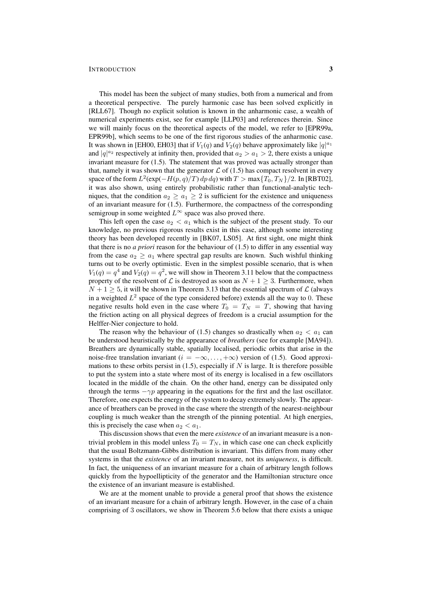#### INTRODUCTION 3

This model has been the subject of many studies, both from a numerical and from a theoretical perspective. The purely harmonic case has been solved explicitly in [RLL67]. Though no explicit solution is known in the anharmonic case, a wealth of numerical experiments exist, see for example [LLP03] and references therein. Since we will mainly focus on the theoretical aspects of the model, we refer to [EPR99a, EPR99b], which seems to be one of the first rigorous studies of the anharmonic case. It was shown in [EH00, EH03] that if  $V_1(q)$  and  $V_2(q)$  behave approximately like  $|q|^{a_1}$ and  $|q|^{a_2}$  respectively at infinity then, provided that  $a_2 > a_1 > 2$ , there exists a unique invariant measure for (1.5). The statement that was proved was actually stronger than that, namely it was shown that the generator  $\mathcal L$  of (1.5) has compact resolvent in every space of the form  $L^2(\exp(-H(p,q)/T)\,dp\,dq)$  with  $T > \max\{T_0, T_N\}/2$ . In [RBT02], it was also shown, using entirely probabilistic rather than functional-analytic techniques, that the condition  $a_2 \geq a_1 \geq 2$  is sufficient for the existence and uniqueness of an invariant measure for (1.5). Furthermore, the compactness of the corresponding semigroup in some weighted  $L^{\infty}$  space was also proved there.

This left open the case  $a_2 < a_1$  which is the subject of the present study. To our knowledge, no previous rigorous results exist in this case, although some interesting theory has been developed recently in [BK07, LS05]. At first sight, one might think that there is no *a priori* reason for the behaviour of (1.5) to differ in any essential way from the case  $a_2 \ge a_1$  where spectral gap results are known. Such wishful thinking turns out to be overly optimistic. Even in the simplest possible scenario, that is when  $V_1(q) = q^4$  and  $V_2(q) = q^2$ , we will show in Theorem 3.11 below that the compactness property of the resolvent of  $\mathcal L$  is destroyed as soon as  $N + 1 \geq 3$ . Furthermore, when  $N + 1 \geq 5$ , it will be shown in Theorem 3.13 that the essential spectrum of  $\mathcal{L}$  (always in a weighted  $L^2$  space of the type considered before) extends all the way to 0. These negative results hold even in the case where  $T_0 = T_N = T$ , showing that having the friction acting on all physical degrees of freedom is a crucial assumption for the Helffer-Nier conjecture to hold.

The reason why the behaviour of (1.5) changes so drastically when  $a_2 < a_1$  can be understood heuristically by the appearance of *breathers* (see for example [MA94]). Breathers are dynamically stable, spatially localised, periodic orbits that arise in the noise-free translation invariant ( $i = -\infty, \ldots, +\infty$ ) version of (1.5). Good approximations to these orbits persist in  $(1.5)$ , especially if N is large. It is therefore possible to put the system into a state where most of its energy is localised in a few oscillators located in the middle of the chain. On the other hand, energy can be dissipated only through the terms  $-\gamma p$  appearing in the equations for the first and the last oscillator. Therefore, one expects the energy of the system to decay extremely slowly. The appearance of breathers can be proved in the case where the strength of the nearest-neighbour coupling is much weaker than the strength of the pinning potential. At high energies, this is precisely the case when  $a_2 < a_1$ .

This discussion shows that even the mere *existence* of an invariant measure is a nontrivial problem in this model unless  $T_0 = T_N$ , in which case one can check explicitly that the usual Boltzmann-Gibbs distribution is invariant. This differs from many other systems in that the *existence* of an invariant measure, not its *uniqueness*, is difficult. In fact, the uniqueness of an invariant measure for a chain of arbitrary length follows quickly from the hypoellipticity of the generator and the Hamiltonian structure once the existence of an invariant measure is established.

We are at the moment unable to provide a general proof that shows the existence of an invariant measure for a chain of arbitrary length. However, in the case of a chain comprising of 3 oscillators, we show in Theorem 5.6 below that there exists a unique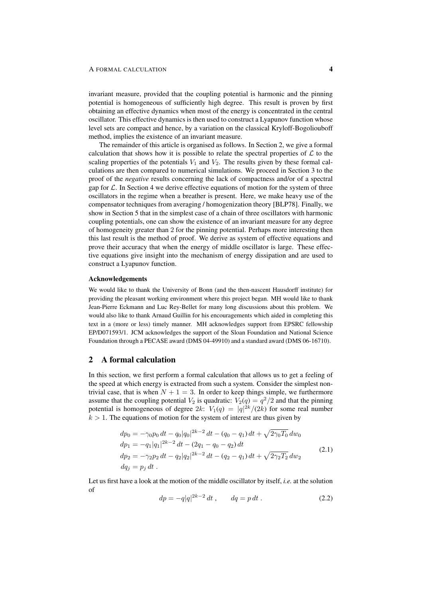invariant measure, provided that the coupling potential is harmonic and the pinning potential is homogeneous of sufficiently high degree. This result is proven by first obtaining an effective dynamics when most of the energy is concentrated in the central oscillator. This effective dynamics is then used to construct a Lyapunov function whose level sets are compact and hence, by a variation on the classical Kryloff-Bogoliouboff method, implies the existence of an invariant measure.

The remainder of this article is organised as follows. In Section 2, we give a formal calculation that shows how it is possible to relate the spectral properties of  $\mathcal L$  to the scaling properties of the potentials  $V_1$  and  $V_2$ . The results given by these formal calculations are then compared to numerical simulations. We proceed in Section 3 to the proof of the *negative* results concerning the lack of compactness and/or of a spectral gap for  $\mathcal L$ . In Section 4 we derive effective equations of motion for the system of three oscillators in the regime when a breather is present. Here, we make heavy use of the compensator techniques from averaging / homogenization theory [BLP78]. Finally, we show in Section 5 that in the simplest case of a chain of three oscillators with harmonic coupling potentials, one can show the existence of an invariant measure for any degree of homogeneity greater than 2 for the pinning potential. Perhaps more interesting then this last result is the method of proof. We derive as system of effective equations and prove their accuracy that when the energy of middle oscillator is large. These effective equations give insight into the mechanism of energy dissipation and are used to construct a Lyapunov function.

#### Acknowledgements

We would like to thank the University of Bonn (and the then-nascent Hausdorff institute) for providing the pleasant working environment where this project began. MH would like to thank Jean-Pierre Eckmann and Luc Rey-Bellet for many long discussions about this problem. We would also like to thank Arnaud Guillin for his encouragements which aided in completing this text in a (more or less) timely manner. MH acknowledges support from EPSRC fellowship EP/D071593/1. JCM acknowledges the support of the Sloan Foundation and National Science Foundation through a PECASE award (DMS 04-49910) and a standard award (DMS 06-16710).

## 2 A formal calculation

In this section, we first perform a formal calculation that allows us to get a feeling of the speed at which energy is extracted from such a system. Consider the simplest nontrivial case, that is when  $N + 1 = 3$ . In order to keep things simple, we furthermore assume that the coupling potential  $V_2$  is quadratic:  $V_2(q) = q^2/2$  and that the pinning potential is homogeneous of degree  $2k$ :  $V_1(q) = |q|^{2k}/(2k)$  for some real number  $k > 1$ . The equations of motion for the system of interest are thus given by

$$
dp_0 = -\gamma_0 p_0 dt - q_0 |q_0|^{2k-2} dt - (q_0 - q_1) dt + \sqrt{2\gamma_0 T_0} dw_0
$$
  
\n
$$
dp_1 = -q_1 |q_1|^{2k-2} dt - (2q_1 - q_0 - q_2) dt
$$
  
\n
$$
dp_2 = -\gamma_2 p_2 dt - q_2 |q_2|^{2k-2} dt - (q_2 - q_1) dt + \sqrt{2\gamma_2 T_2} dw_2
$$
\n
$$
dq_j = p_j dt.
$$
\n(2.1)

Let us first have a look at the motion of the middle oscillator by itself, *i.e.* at the solution of

$$
dp = -q|q|^{2k-2} dt , \t dq = p dt . \t (2.2)
$$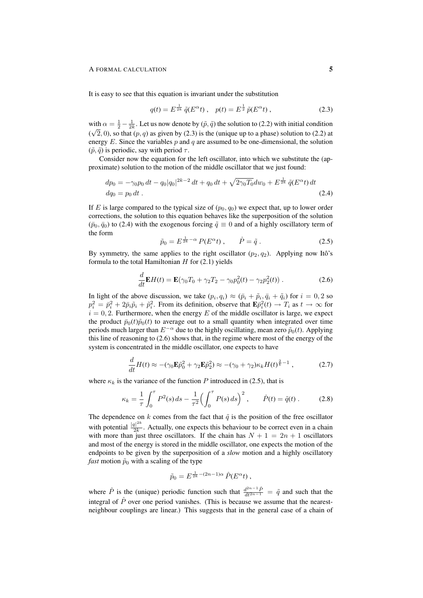It is easy to see that this equation is invariant under the substitution

$$
q(t) = E^{\frac{1}{2k}} \tilde{q}(E^{\alpha}t) , \quad p(t) = E^{\frac{1}{2}} \tilde{p}(E^{\alpha}t) , \qquad (2.3)
$$

with  $\alpha = \frac{1}{2} - \frac{1}{2k}$ . Let us now denote by  $(\tilde{p}, \tilde{q})$  the solution to (2.2) with initial condition  $(\sqrt{2}, 0)$ , so that  $(p, q)$  as given by (2.3) is the (unique up to a phase) solution to (2.2) at energy E. Since the variables  $p$  and  $q$  are assumed to be one-dimensional, the solution  $(\tilde{p}, \tilde{q})$  is periodic, say with period  $\tau$ .

Consider now the equation for the left oscillator, into which we substitute the (approximate) solution to the motion of the middle oscillator that we just found:

$$
dp_0 = -\gamma_0 p_0 dt - q_0 |q_0|^{2k-2} dt + q_0 dt + \sqrt{2\gamma_0 T_0} dw_0 + E^{\frac{1}{2k}} \tilde{q}(E^{\alpha}t) dt
$$
  

$$
dq_0 = p_0 dt.
$$
 (2.4)

If E is large compared to the typical size of  $(p_0, q_0)$  we expect that, up to lower order corrections, the solution to this equation behaves like the superposition of the solution  $(\bar{p}_0, \bar{q}_0)$  to (2.4) with the exogenous forcing  $\tilde{q} \equiv 0$  and of a highly oscillatory term of the form

$$
\tilde{p}_0 = E^{\frac{1}{2k} - \alpha} P(E^{\alpha} t) , \qquad \dot{P} = \tilde{q} . \tag{2.5}
$$

By symmetry, the same applies to the right oscillator  $(p_2, q_2)$ . Applying now Itô's formula to the total Hamiltonian  $H$  for (2.1) yields

$$
\frac{d}{dt}\mathbf{E}H(t) = \mathbf{E}(\gamma_0 T_0 + \gamma_2 T_2 - \gamma_0 p_0^2(t) - \gamma_2 p_2^2(t)).
$$
\n(2.6)

In light of the above discussion, we take  $(p_i, q_i) \approx (\bar{p}_i + \tilde{p}_i, \bar{q}_i + \tilde{q}_i)$  for  $i = 0, 2$  so  $p_i^2 = \bar{p}_i^2 + 2\bar{p}_i\tilde{p}_i + \tilde{p}_i^2$ . From its definition, observe that  $\mathbf{E}\bar{p}_i^2(t) \to T_i$  as  $t \to \infty$  for  $i = 0, 2$ . Furthermore, when the energy E of the middle oscillator is large, we expect the product  $\bar{p}_0(t)\tilde{p}_0(t)$  to average out to a small quantity when integrated over time periods much larger than  $E^{-\alpha}$  due to the highly oscillating, mean zero  $\tilde{p}_0(t)$ . Applying this line of reasoning to (2.6) shows that, in the regime where most of the energy of the system is concentrated in the middle oscillator, one expects to have

$$
\frac{d}{dt}H(t) \approx -(\gamma_0 \mathbf{E}\tilde{p}_0^2 + \gamma_2 \mathbf{E}\tilde{p}_2^2) \approx -(\gamma_0 + \gamma_2)\kappa_k H(t)^{\frac{2}{k}-1},\tag{2.7}
$$

where  $\kappa_k$  is the variance of the function P introduced in (2.5), that is

$$
\kappa_k = \frac{1}{\tau} \int_0^{\tau} P^2(s) \, ds - \frac{1}{\tau^2} \Big( \int_0^{\tau} P(s) \, ds \Big)^2 \,, \qquad \dot{P}(t) = \tilde{q}(t) \,. \tag{2.8}
$$

The dependence on k comes from the fact that  $\tilde{q}$  is the position of the free oscillator with potential  $\frac{|q|^{2k}}{2k}$  $\frac{2}{2k}$ . Actually, one expects this behaviour to be correct even in a chain with more than just three oscillators. If the chain has  $N + 1 = 2n + 1$  oscillators and most of the energy is stored in the middle oscillator, one expects the motion of the endpoints to be given by the superposition of a *slow* motion and a highly oscillatory *fast* motion  $\tilde{p}_0$  with a scaling of the type

$$
\tilde{p}_0 = E^{\frac{1}{2k} - (2n-1)\alpha} \hat{P}(E^{\alpha}t) ,
$$

where  $\hat{P}$  is the (unique) periodic function such that  $\frac{d^{2n-1}\hat{P}}{dt^{2n-1}} = \tilde{q}$  and such that the integral of  $\hat{P}$  over one period vanishes. (This is because we assume that the nearestneighbour couplings are linear.) This suggests that in the general case of a chain of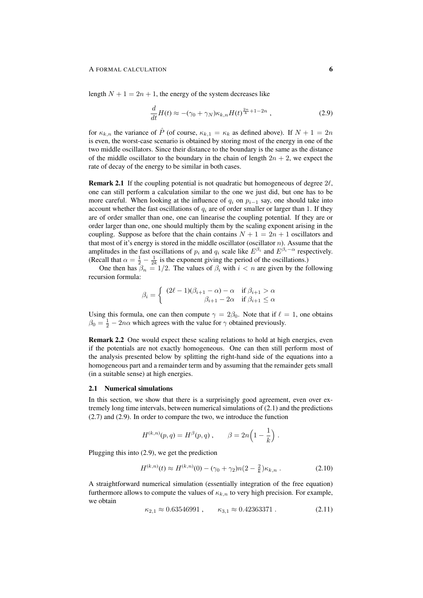length  $N + 1 = 2n + 1$ , the energy of the system decreases like

$$
\frac{d}{dt}H(t) \approx -(\gamma_0 + \gamma_N)\kappa_{k,n}H(t)^{\frac{2n}{k}+1-2n},\qquad(2.9)
$$

for  $\kappa_{k,n}$  the variance of  $\hat{P}$  (of course,  $\kappa_{k,1} = \kappa_k$  as defined above). If  $N + 1 = 2n$ is even, the worst-case scenario is obtained by storing most of the energy in one of the two middle oscillators. Since their distance to the boundary is the same as the distance of the middle oscillator to the boundary in the chain of length  $2n + 2$ , we expect the rate of decay of the energy to be similar in both cases.

**Remark 2.1** If the coupling potential is not quadratic but homogeneous of degree  $2\ell$ , one can still perform a calculation similar to the one we just did, but one has to be more careful. When looking at the influence of  $q_i$  on  $p_{i-1}$  say, one should take into account whether the fast oscillations of  $q_i$  are of order smaller or larger than 1. If they are of order smaller than one, one can linearise the coupling potential. If they are or order larger than one, one should multiply them by the scaling exponent arising in the coupling. Suppose as before that the chain contains  $N + 1 = 2n + 1$  oscillators and that most of it's energy is stored in the middle oscillator (oscillator  $n$ ). Assume that the amplitudes in the fast oscillations of  $p_i$  and  $q_i$  scale like  $E^{\beta_i}$  and  $E^{\beta_i-\alpha}$  respectively. (Recall that  $\alpha = \frac{1}{2} - \frac{1}{2k}$  is the exponent giving the period of the oscillations.)

One then has  $\beta_n = 1/2$ . The values of  $\beta_i$  with  $i < n$  are given by the following recursion formula:

$$
\beta_i = \begin{cases} (2\ell - 1)(\beta_{i+1} - \alpha) - \alpha & \text{if } \beta_{i+1} > \alpha \\ \beta_{i+1} - 2\alpha & \text{if } \beta_{i+1} \le \alpha \end{cases}
$$

Using this formula, one can then compute  $\gamma = 2\beta_0$ . Note that if  $\ell = 1$ , one obtains  $\beta_0 = \frac{1}{2} - 2n\alpha$  which agrees with the value for  $\gamma$  obtained previously.

Remark 2.2 One would expect these scaling relations to hold at high energies, even if the potentials are not exactly homogeneous. One can then still perform most of the analysis presented below by splitting the right-hand side of the equations into a homogeneous part and a remainder term and by assuming that the remainder gets small (in a suitable sense) at high energies.

## 2.1 Numerical simulations

In this section, we show that there is a surprisingly good agreement, even over extremely long time intervals, between numerical simulations of (2.1) and the predictions (2.7) and (2.9). In order to compare the two, we introduce the function

$$
H^{(k,n)}(p,q) = H^{\beta}(p,q) , \qquad \beta = 2n \Big( 1 - \frac{1}{k} \Big) .
$$

Plugging this into (2.9), we get the prediction

$$
H^{(k,n)}(t) \approx H^{(k,n)}(0) - (\gamma_0 + \gamma_2)n(2 - \frac{2}{k})\kappa_{k,n}.
$$
 (2.10)

A straightforward numerical simulation (essentially integration of the free equation) furthermore allows to compute the values of  $\kappa_{k,n}$  to very high precision. For example, we obtain

$$
\kappa_{2,1} \approx 0.63546991 \,, \qquad \kappa_{3,1} \approx 0.42363371 \,. \tag{2.11}
$$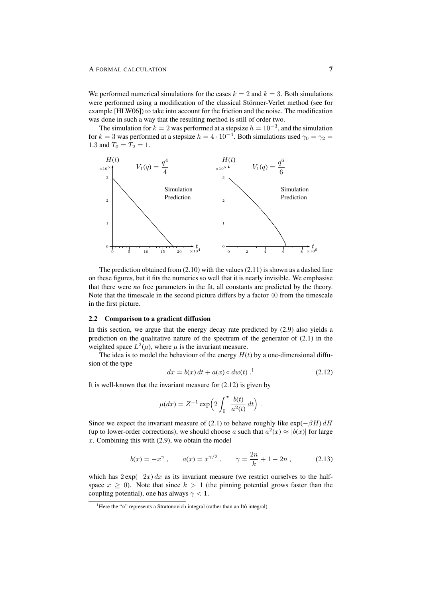We performed numerical simulations for the cases  $k = 2$  and  $k = 3$ . Both simulations were performed using a modification of the classical Störmer-Verlet method (see for example [HLW06]) to take into account for the friction and the noise. The modification was done in such a way that the resulting method is still of order two.

The simulation for  $k = 2$  was performed at a stepsize  $h = 10^{-3}$ , and the simulation for  $k = 3$  was performed at a stepsize  $h = 4 \cdot 10^{-4}$ . Both simulations used  $\gamma_0 = \gamma_2 =$ 1.3 and  $T_0 = T_2 = 1$ .



The prediction obtained from  $(2.10)$  with the values  $(2.11)$  is shown as a dashed line on these figures, but it fits the numerics so well that it is nearly invisible. We emphasise that there were *no* free parameters in the fit, all constants are predicted by the theory. Note that the timescale in the second picture differs by a factor 40 from the timescale in the first picture.

#### 2.2 Comparison to a gradient diffusion

In this section, we argue that the energy decay rate predicted by (2.9) also yields a prediction on the qualitative nature of the spectrum of the generator of (2.1) in the weighted space  $L^2(\mu)$ , where  $\mu$  is the invariant measure.

The idea is to model the behaviour of the energy  $H(t)$  by a one-dimensional diffusion of the type

$$
dx = b(x) dt + a(x) \circ dw(t). \tag{2.12}
$$

.

It is well-known that the invariant measure for  $(2.12)$  is given by

$$
\mu(dx) = Z^{-1} \exp\left(2 \int_0^x \frac{b(t)}{a^2(t)} dt\right)
$$

Since we expect the invariant measure of (2.1) to behave roughly like  $\exp(-\beta H) dH$ (up to lower-order corrections), we should choose a such that  $a^2(x) \approx |b(x)|$  for large  $x$ . Combining this with  $(2.9)$ , we obtain the model

$$
b(x) = -x^{\gamma}, \qquad a(x) = x^{\gamma/2}, \qquad \gamma = \frac{2n}{k} + 1 - 2n, \tag{2.13}
$$

which has  $2 \exp(-2x) dx$  as its invariant measure (we restrict ourselves to the halfspace  $x \geq 0$ ). Note that since  $k > 1$  (the pinning potential grows faster than the coupling potential), one has always  $\gamma$  < 1.

<sup>&</sup>lt;sup>1</sup>Here the "∘" represents a Stratonovich integral (rather than an Itô integral).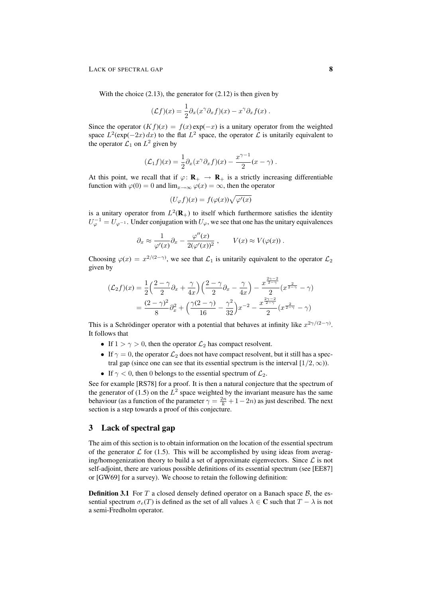With the choice  $(2.13)$ , the generator for  $(2.12)$  is then given by

$$
(\mathcal{L}f)(x) = \frac{1}{2}\partial_x(x^{\gamma}\partial_x f)(x) - x^{\gamma}\partial_x f(x).
$$

Since the operator  $(Kf)(x) = f(x) \exp(-x)$  is a unitary operator from the weighted space  $L^2$ (exp(-2x) dx) to the flat  $L^2$  space, the operator  $\mathcal L$  is unitarily equivalent to the operator  $\mathcal{L}_1$  on  $L^2$  given by

$$
(\mathcal{L}_1 f)(x) = \frac{1}{2} \partial_x (x^{\gamma} \partial_x f)(x) - \frac{x^{\gamma - 1}}{2} (x - \gamma).
$$

At this point, we recall that if  $\varphi: \mathbf{R}_{+} \to \mathbf{R}_{+}$  is a strictly increasing differentiable function with  $\varphi(0) = 0$  and  $\lim_{x \to \infty} \varphi(x) = \infty$ , then the operator

$$
(U_{\varphi}f)(x) = f(\varphi(x))\sqrt{\varphi'(x)}
$$

is a unitary operator from  $L^2(\mathbf{R}_+)$  to itself which furthermore satisfies the identity  $U_{\varphi}^{-1} = U_{\varphi^{-1}}$ . Under conjugation with  $U_{\varphi}$ , we see that one has the unitary equivalences

$$
\partial_x \approx \frac{1}{\varphi'(x)} \partial_x - \frac{\varphi''(x)}{2(\varphi'(x))^2}, \qquad V(x) \approx V(\varphi(x)).
$$

Choosing  $\varphi(x) = x^{2/(2-\gamma)}$ , we see that  $\mathcal{L}_1$  is unitarily equivalent to the operator  $\mathcal{L}_2$ given by

$$
(\mathcal{L}_2 f)(x) = \frac{1}{2} \left( \frac{2 - \gamma}{2} \partial_x + \frac{\gamma}{4x} \right) \left( \frac{2 - \gamma}{2} \partial_x - \frac{\gamma}{4x} \right) - \frac{x^{\frac{2\gamma - 2}{2 - \gamma}}}{2} (x^{\frac{2}{2 - \gamma}} - \gamma)
$$
  
= 
$$
\frac{(2 - \gamma)^2}{8} \partial_x^2 + \left( \frac{\gamma (2 - \gamma)}{16} - \frac{\gamma^2}{32} \right) x^{-2} - \frac{x^{\frac{2\gamma - 2}{2 - \gamma}}}{2} (x^{\frac{2}{2 - \gamma}} - \gamma)
$$

This is a Schrödinger operator with a potential that behaves at infinity like  $x^{2\gamma/(2-\gamma)}$ . It follows that

- If  $1 > \gamma > 0$ , then the operator  $\mathcal{L}_2$  has compact resolvent.
- If  $\gamma = 0$ , the operator  $\mathcal{L}_2$  does not have compact resolvent, but it still has a spectral gap (since one can see that its essential spectrum is the interval  $[1/2, \infty)$ ).
- If  $\gamma$  < 0, then 0 belongs to the essential spectrum of  $\mathcal{L}_2$ .

See for example [RS78] for a proof. It is then a natural conjecture that the spectrum of the generator of (1.5) on the  $L^2$  space weighted by the invariant measure has the same behaviour (as a function of the parameter  $\gamma = \frac{2n}{k} + 1 - 2n$ ) as just described. The next section is a step towards a proof of this conjecture.

## 3 Lack of spectral gap

The aim of this section is to obtain information on the location of the essential spectrum of the generator  $\mathcal L$  for (1.5). This will be accomplished by using ideas from averaging/homogenization theory to build a set of approximate eigenvectors. Since  $\mathcal L$  is not self-adjoint, there are various possible definitions of its essential spectrum (see [EE87] or [GW69] for a survey). We choose to retain the following definition:

**Definition 3.1** For  $T$  a closed densely defined operator on a Banach space  $\mathcal{B}$ , the essential spectrum  $\sigma_e(T)$  is defined as the set of all values  $\lambda \in \mathbb{C}$  such that  $T - \lambda$  is not a semi-Fredholm operator.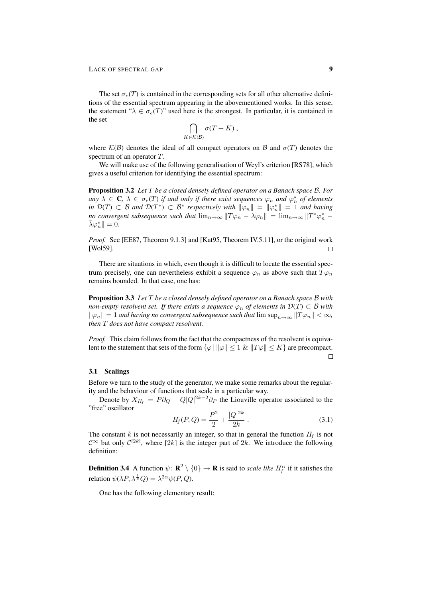The set  $\sigma_e(T)$  is contained in the corresponding sets for all other alternative definitions of the essential spectrum appearing in the abovementioned works. In this sense, the statement " $\lambda \in \sigma_e(T)$ " used here is the strongest. In particular, it is contained in the set

$$
\bigcap_{K\in\mathcal{K}(\mathcal{B})}\sigma(T+K)\,,
$$

where  $\mathcal{K}(\mathcal{B})$  denotes the ideal of all compact operators on  $\mathcal{B}$  and  $\sigma(T)$  denotes the spectrum of an operator T.

We will make use of the following generalisation of Weyl's criterion [RS78], which gives a useful criterion for identifying the essential spectrum:

Proposition 3.2 *Let* T *be a closed densely defined operator on a Banach space* B*. For*  $a_n y \lambda \in \mathbf{C}, \ \lambda \in \sigma_e(T)$  *if and only if there exist sequences*  $\varphi_n$  *and*  $\varphi_n^*$  *of elements in*  $\mathcal{D}(T) \subset \mathcal{B}$  and  $\mathcal{D}(T^*) \subset \mathcal{B}^*$  respectively with  $\|\varphi_n\| = \|\varphi_n^*\| = 1$  and having *no convergent subsequence such that*  $\lim_{n\to\infty} ||T\varphi_n - \lambda\varphi_n|| = \lim_{n\to\infty} ||T^*\varphi_n^* \bar{\lambda}\varphi_n^*\| = 0.$ 

*Proof.* See [EE87, Theorem 9.1.3] and [Kat95, Theorem IV.5.11], or the original work [Wol59].  $\Box$ 

There are situations in which, even though it is difficult to locate the essential spectrum precisely, one can nevertheless exhibit a sequence  $\varphi_n$  as above such that  $T\varphi_n$ remains bounded. In that case, one has:

Proposition 3.3 *Let* T *be a closed densely defined operator on a Banach space* B *with non-empty resolvent set. If there exists a sequence*  $\varphi_n$  *of elements in*  $\mathcal{D}(T) \subset \mathcal{B}$  *with*  $\|\varphi_n\| = 1$  *and having no convergent subsequence such that* lim  $\sup_{n \to \infty} ||T\varphi_n|| < \infty$ , *then* T *does not have compact resolvent.*

*Proof.* This claim follows from the fact that the compactness of the resolvent is equivalent to the statement that sets of the form  $\{\varphi \mid ||\varphi|| \leq 1 \& ||T\varphi|| \leq K\}$  are precompact.  $\Box$ 

### 3.1 Scalings

Before we turn to the study of the generator, we make some remarks about the regularity and the behaviour of functions that scale in a particular way.

Denote by  $X_{H_f} = P \partial_Q - Q |Q|^{2k-2} \partial_P$  the Liouville operator associated to the "free" oscillator

$$
H_f(P,Q) = \frac{P^2}{2} + \frac{|Q|^{2k}}{2k} \tag{3.1}
$$

The constant k is not necessarily an integer, so that in general the function  $H_f$  is not  $C^{\infty}$  but only  $C^{[2k]}$ , where  $[2k]$  is the integer part of  $2k$ . We introduce the following definition:

**Definition 3.4** A function  $\psi \colon \mathbf{R}^2 \setminus \{0\} \to \mathbf{R}$  is said to *scale like*  $H_f^{\alpha}$  if it satisfies the relation  $\psi(\lambda P, \lambda^{\frac{1}{k}} Q) = \lambda^{2\alpha} \psi(P, Q)$ .

One has the following elementary result: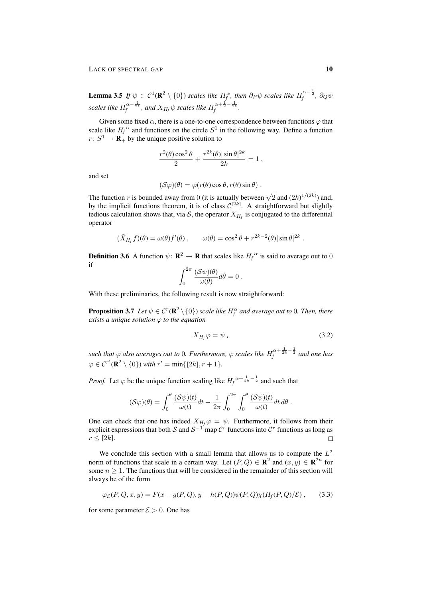**Lemma 3.5** If  $\psi \in C^1(\mathbf{R}^2 \setminus \{0\})$  scales like  $H_f^{\alpha}$ , then  $\partial_P \psi$  scales like  $H_f^{\alpha - \frac{1}{2}}$ ,  $\partial_Q \psi$ scales like  $H_f^{\alpha-\frac{1}{2k}}$ , and  $X_{H_f}\psi$  scales like  $H_f^{\alpha+\frac{1}{2}-\frac{1}{2k}}$ .

Given some fixed  $\alpha$ , there is a one-to-one correspondence between functions  $\varphi$  that scale like  $H_f^{\alpha}$  and functions on the circle  $S^1$  in the following way. Define a function  $r: S^1 \to \mathbf{R}_+$  by the unique positive solution to

$$
\frac{r^2(\theta)\cos^2\theta}{2} + \frac{r^{2k}(\theta)\sin\theta|^{2k}}{2k} = 1,
$$

and set

$$
(\mathcal{S}\varphi)(\theta) = \varphi(r(\theta)\cos\theta, r(\theta)\sin\theta).
$$

The function r is bounded away from 0 (it is actually between  $\sqrt{2}$  and  $(2k)^{1/(2k)}$ ) and, by the implicit functions theorem, it is of class  $C^{[2k]}$ . A straightforward but slightly tedious calculation shows that, via  $S$ , the operator  $X_{H_f}$  is conjugated to the differential operator

$$
(\tilde{X}_{H_f}f)(\theta) = \omega(\theta)f'(\theta) , \qquad \omega(\theta) = \cos^2 \theta + r^{2k-2}(\theta) |\sin \theta|^{2k} .
$$

**Definition 3.6** A function  $\psi : \mathbf{R}^2 \to \mathbf{R}$  that scales like  $H_f^{\alpha}$  is said to average out to 0 if

$$
\int_0^{2\pi} \frac{(\mathcal{S}\psi)(\theta)}{\omega(\theta)} d\theta = 0.
$$

With these preliminaries, the following result is now straightforward:

**Proposition 3.7** Let  $\psi \in C^r(\mathbf{R}^2 \setminus \{0\})$  scale like  $H_f^\alpha$  and average out to 0. Then, there *exists a unique solution*  $\varphi$  *to the equation* 

$$
X_{H_f}\varphi = \psi \tag{3.2}
$$

such that  $\varphi$  also averages out to 0. Furthermore,  $\varphi$  scales like  $H_f^{\alpha+\frac{1}{2k}-\frac{1}{2}}$  and one has  $\varphi \in C^{r'}(\mathbf{R}^2 \setminus \{0\})$  *with*  $r' = \min\{[2k], r + 1\}.$ 

*Proof.* Let  $\varphi$  be the unique function scaling like  $H_f^{\alpha + \frac{1}{2k} - \frac{1}{2}}$  and such that

$$
(\mathcal{S}\varphi)(\theta) = \int_0^{\theta} \frac{(\mathcal{S}\psi)(t)}{\omega(t)} dt - \frac{1}{2\pi} \int_0^{2\pi} \int_0^{\theta} \frac{(\mathcal{S}\psi)(t)}{\omega(t)} dt d\theta.
$$

One can check that one has indeed  $X_{H_f} \varphi = \psi$ . Furthermore, it follows from their explicit expressions that both S and  $S^{-1}$  map  $\mathcal{C}^r$  functions into  $\mathcal{C}^r$  functions as long as  $r \leq \lceil 2k \rceil$ .

We conclude this section with a small lemma that allows us to compute the  $L^2$ norm of functions that scale in a certain way. Let  $(P,Q) \in \mathbb{R}^2$  and  $(x, y) \in \mathbb{R}^{2n}$  for some  $n \geq 1$ . The functions that will be considered in the remainder of this section will always be of the form

$$
\varphi_{\mathcal{E}}(P,Q,x,y) = F(x - g(P,Q), y - h(P,Q))\psi(P,Q)\chi(H_f(P,Q)/\mathcal{E}), \quad (3.3)
$$

for some parameter  $\mathcal{E} > 0$ . One has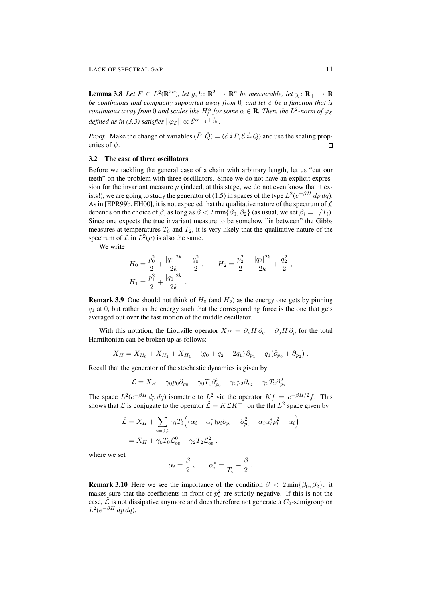**Lemma 3.8** *Let*  $F \in L^2(\mathbf{R}^{2n})$ , *let*  $g, h: \mathbf{R}^2 \to \mathbf{R}^n$  *be measurable, let*  $\chi: \mathbf{R}_+ \to \mathbf{R}$ *be continuous and compactly supported away from* 0*, and let*  $\psi$  *be a function that is*  $\it continuous$  away from  $0$  and scales like  $H_f^\alpha$  for some  $\alpha \in \mathbf R.$  Then, the  $L^2$ -norm of  $\varphi_{\mathcal E}$ *defined as in (3.3) satisfies*  $\|\varphi_{\mathcal{E}}\| \propto \mathcal{E}^{\alpha + \frac{1}{4} + \frac{1}{4k}}.$ 

*Proof.* Make the change of variables  $(\tilde{P}, \tilde{Q}) = (\mathcal{E}^{\frac{1}{2}}P, \mathcal{E}^{\frac{1}{2k}}Q)$  and use the scaling properties of  $\psi$ .  $\Box$ 

### 3.2 The case of three oscillators

Before we tackling the general case of a chain with arbitrary length, let us "cut our teeth" on the problem with three oscillators. Since we do not have an explicit expression for the invariant measure  $\mu$  (indeed, at this stage, we do not even know that it exists!), we are going to study the generator of (1.5) in spaces of the type  $L^2(e^{-\beta H} dp dq)$ . As in [EPR99b, EH00], it is not expected that the qualitative nature of the spectrum of  $\mathcal L$ depends on the choice of  $\beta$ , as long as  $\beta < 2 \min{\beta_0, \beta_2}$  (as usual, we set  $\beta_i = 1/T_i$ ). Since one expects the true invariant measure to be somehow "in between" the Gibbs measures at temperatures  $T_0$  and  $T_2$ , it is very likely that the qualitative nature of the spectrum of  $\mathcal L$  in  $L^2(\mu)$  is also the same.

We write

$$
H_0 = \frac{p_0^2}{2} + \frac{|q_0|^{2k}}{2k} + \frac{q_0^2}{2}, \qquad H_2 = \frac{p_2^2}{2} + \frac{|q_2|^{2k}}{2k} + \frac{q_2^2}{2},
$$
  

$$
H_1 = \frac{p_1^2}{2} + \frac{|q_1|^{2k}}{2k}.
$$

**Remark 3.9** One should not think of  $H_0$  (and  $H_2$ ) as the energy one gets by pinning  $q_1$  at 0, but rather as the energy such that the corresponding force is the one that gets averaged out over the fast motion of the middle oscillator.

With this notation, the Liouville operator  $X_H = \partial_p H \partial_q - \partial_q H \partial_p$  for the total Hamiltonian can be broken up as follows:

$$
X_H = X_{H_0} + X_{H_2} + X_{H_1} + (q_0 + q_2 - 2q_1) \partial_{p_1} + q_1 (\partial_{p_0} + \partial_{p_2})
$$

Recall that the generator of the stochastic dynamics is given by

$$
\mathcal{L} = X_H - \gamma_0 p_0 \partial_{p_0} + \gamma_0 T_0 \partial_{p_0}^2 - \gamma_2 p_2 \partial_{p_2} + \gamma_2 T_2 \partial_{p_2}^2.
$$

The space  $L^2(e^{-\beta H} dp dq)$  isometric to  $L^2$  via the operator  $Kf = e^{-\beta H/2}f$ . This shows that L is conjugate to the operator  $\tilde{\mathcal{L}} = K \mathcal{L} K^{-1}$  on the flat  $L^2$  space given by

$$
\tilde{\mathcal{L}} = X_H + \sum_{i=0,2} \gamma_i T_i \Big( (\alpha_i - \alpha_i^*) p_i \partial_{p_i} + \partial_{p_i}^2 - \alpha_i \alpha_i^* p_i^2 + \alpha_i \Big)
$$
  
=  $X_H + \gamma_0 T_0 \mathcal{L}_{\text{ou}}^0 + \gamma_2 T_2 \mathcal{L}_{\text{ou}}^2$ .

where we set

$$
\alpha_i = \frac{\beta}{2} , \qquad \alpha_i^* = \frac{1}{T_i} - \frac{\beta}{2} .
$$

**Remark 3.10** Here we see the importance of the condition  $\beta < 2 \min\{\beta_0, \beta_2\}$ : it makes sure that the coefficients in front of  $p_i^2$  are strictly negative. If this is not the case,  $\mathcal L$  is not dissipative anymore and does therefore not generate a  $C_0$ -semigroup on  $L^2(e^{-\beta H} dp dq)$ .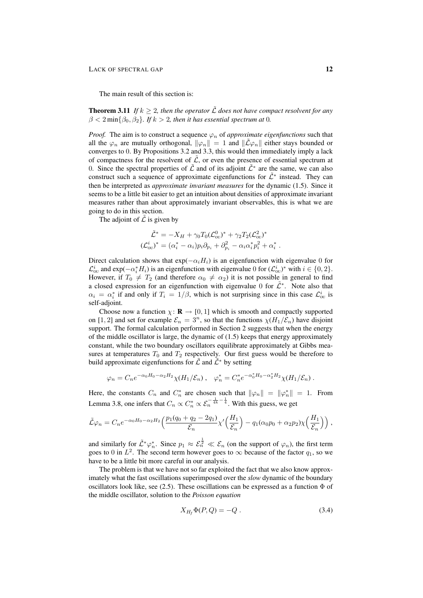The main result of this section is:

**Theorem 3.11** *If*  $k \geq 2$ , then the operator  $\tilde{\mathcal{L}}$  does not have compact resolvent for any  $\beta < 2 \min\{\beta_0, \beta_2\}$ . If  $k > 2$ , then it has essential spectrum at 0.

*Proof.* The aim is to construct a sequence  $\varphi_n$  of *approximate eigenfunctions* such that all the  $\varphi_n$  are mutually orthogonal,  $\|\varphi_n\| = 1$  and  $\|\tilde{\mathcal{L}}\varphi_n\|$  either stays bounded or converges to 0. By Propositions 3.2 and 3.3, this would then immediately imply a lack of compactness for the resolvent of  $\tilde{\mathcal{L}}$ , or even the presence of essential spectrum at 0. Since the spectral properties of  $\tilde{\mathcal{L}}$  and of its adjoint  $\tilde{\mathcal{L}}^*$  are the same, we can also construct such a sequence of approximate eigenfunctions for  $\tilde{\mathcal{L}}^*$  instead. They can then be interpreted as *approximate invariant measures* for the dynamic (1.5). Since it seems to be a little bit easier to get an intuition about densities of approximate invariant measures rather than about approximately invariant observables, this is what we are going to do in this section.

The adjoint of  $\mathcal L$  is given by

$$
\tilde{\mathcal{L}}^* = -X_H + \gamma_0 T_0 (\mathcal{L}_{\text{ou}}^0)^* + \gamma_2 T_2 (\mathcal{L}_{\text{ou}}^2)^*
$$
  

$$
(\mathcal{L}_{\text{ou}}^i)^* = (\alpha_i^* - \alpha_i) p_i \partial_{p_i} + \partial_{p_i}^2 - \alpha_i \alpha_i^* p_i^2 + \alpha_i^*.
$$

Direct calculation shows that  $exp(-\alpha_i H_i)$  is an eigenfunction with eigenvalue 0 for  $\mathcal{L}_{\text{ou}}^{i}$  and  $\exp(-\alpha_i^* H_i)$  is an eigenfunction with eigenvalue 0 for  $(\mathcal{L}_{\text{ou}}^{i})^*$  with  $i \in \{0, 2\}$ . However, if  $T_0 \neq T_2$  (and therefore  $\alpha_0 \neq \alpha_2$ ) it is not possible in general to find a closed expression for an eigenfunction with eigenvalue 0 for  $\tilde{\mathcal{L}}^*$ . Note also that  $\alpha_i = \alpha_i^*$  if and only if  $T_i = 1/\beta$ , which is not surprising since in this case  $\mathcal{L}_{\text{ou}}^i$  is self-adjoint.

Choose now a function  $\chi : \mathbf{R} \to [0, 1]$  which is smooth and compactly supported on [1, 2] and set for example  $\mathcal{E}_n = 3^n$ , so that the functions  $\chi(H_1/\mathcal{E}_n)$  have disjoint support. The formal calculation performed in Section 2 suggests that when the energy of the middle oscillator is large, the dynamic of (1.5) keeps that energy approximately constant, while the two boundary oscillators equilibrate approximately at Gibbs measures at temperatures  $T_0$  and  $T_2$  respectively. Our first guess would be therefore to build approximate eigenfunctions for  $\tilde{\mathcal{L}}$  and  $\tilde{\mathcal{L}}^*$  by setting

$$
\varphi_n = C_n e^{-\alpha_0 H_0 - \alpha_2 H_2} \chi(H_1/\mathcal{E}_n) , \quad \varphi_n^* = C_n^* e^{-\alpha_0^* H_0 - \alpha_2^* H_2} \chi(H_1/\mathcal{E}_n) .
$$

Here, the constants  $C_n$  and  $C_n^*$  are chosen such that  $\|\varphi_n\| = \|\varphi_n^*\| = 1$ . From Lemma 3.8, one infers that  $C_n \propto C_n^* \propto \mathcal{E}_n^{-\frac{1}{4k} - \frac{1}{4}}$ . With this guess, we get

$$
\tilde{\mathcal{L}}\varphi_n = C_n e^{-\alpha_0 H_0 - \alpha_2 H_2} \left( \frac{p_1 (q_0 + q_2 - 2q_1)}{\mathcal{E}_n} \chi' \left( \frac{H_1}{\mathcal{E}_n} \right) - q_1 (\alpha_0 p_0 + \alpha_2 p_2) \chi \left( \frac{H_1}{\mathcal{E}_n} \right) \right),
$$

and similarly for  $\tilde{\mathcal{L}}^*\varphi_n^*$ . Since  $p_1 \approx \mathcal{E}_n^{\frac{1}{2}} \ll \mathcal{E}_n$  (on the support of  $\varphi_n$ ), the first term goes to 0 in  $L^2$ . The second term however goes to  $\infty$  because of the factor  $q_1$ , so we have to be a little bit more careful in our analysis.

The problem is that we have not so far exploited the fact that we also know approximately what the fast oscillations superimposed over the *slow* dynamic of the boundary oscillators look like, see (2.5). These oscillations can be expressed as a function  $\Phi$  of the middle oscillator, solution to the *Poisson equation*

$$
X_{H_f} \Phi(P, Q) = -Q. \tag{3.4}
$$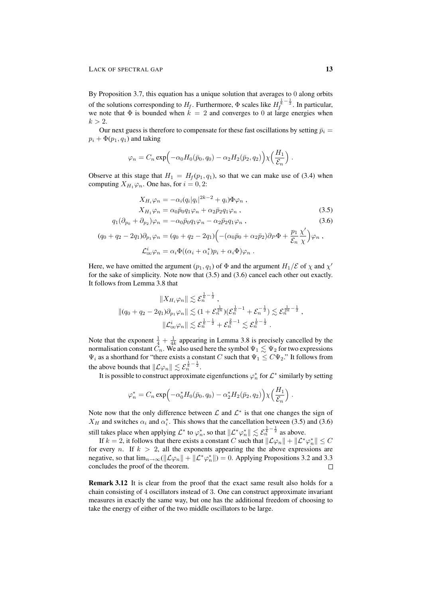By Proposition 3.7, this equation has a unique solution that averages to 0 along orbits of the solutions corresponding to  $H_f$ . Furthermore,  $\Phi$  scales like  $H_f^{\frac{1}{k}-\frac{1}{2}}$ . In particular, we note that  $\Phi$  is bounded when  $k = 2$  and converges to 0 at large energies when  $k > 2$ .

Our next guess is therefore to compensate for these fast oscillations by setting  $\bar{p}_i =$  $p_i + \Phi(p_1, q_1)$  and taking

$$
\varphi_n = C_n \exp\Bigl(-\alpha_0 H_0(\bar{p}_0, q_0) - \alpha_2 H_2(\bar{p}_2, q_2)\Bigr) \chi\Bigl(\frac{H_1}{\mathcal{E}_n}\Bigr) .
$$

Observe at this stage that  $H_1 = H_f(p_1, q_1)$ , so that we can make use of (3.4) when computing  $X_{H_1} \varphi_n$ . One has, for  $i = 0, 2$ :

$$
X_{H_i}\varphi_n = -\alpha_i (q_i|q_i|^{2k-2} + q_i)\Phi\varphi_n ,
$$
  
\n
$$
X_{H_1}\varphi_n = \alpha_0 \bar{p}_0 q_1 \varphi_n + \alpha_2 \bar{p}_2 q_1 \varphi_n ,
$$
\n(3.5)

$$
q_1(\partial_{p_0} + \partial_{p_2})\varphi_n = -\alpha_0 \bar{p}_0 q_1 \varphi_n - \alpha_2 \bar{p}_2 q_1 \varphi_n , \qquad (3.6)
$$

$$
(q_0 + q_2 - 2q_1)\partial_{p_1}\varphi_n = (q_0 + q_2 - 2q_1)\Big( -(\alpha_0\bar{p}_0 + \alpha_2\bar{p}_2)\partial_P\Phi + \frac{p_1}{\mathcal{E}_n}\frac{\chi'}{\chi}\Big)\varphi_n ,
$$
  

$$
\mathcal{L}_{ov}^i\varphi_n = \alpha_i\Phi((\alpha_i + \alpha_i^*)p_i + \alpha_i\Phi)\varphi_n .
$$

Here, we have omitted the argument  $(p_1, q_1)$  of  $\Phi$  and the argument  $H_1/\mathcal{E}$  of  $\chi$  and  $\chi'$ for the sake of simplicity. Note now that (3.5) and (3.6) cancel each other out exactly. It follows from Lemma 3.8 that

$$
||X_{H_i}\varphi_n|| \lesssim \mathcal{E}_n^{\frac{1}{k}-\frac{1}{2}}\,,
$$
  

$$
||(q_0+q_2-2q_1)\partial_{p_1}\varphi_n|| \lesssim (1+\mathcal{E}_n^{\frac{1}{2k}})(\mathcal{E}_n^{\frac{1}{k}-1}+\mathcal{E}_n^{-\frac{1}{2}})\lesssim \mathcal{E}_n^{\frac{1}{2k}-\frac{1}{2}}\,,
$$
  

$$
||\mathcal{L}_{\text{ou}}^i\varphi_n|| \lesssim \mathcal{E}_n^{\frac{1}{k}-\frac{1}{2}}+\mathcal{E}_n^{\frac{2}{k}-1}\lesssim \mathcal{E}_n^{\frac{1}{k}-\frac{1}{2}}\,.
$$

Note that the exponent  $\frac{1}{4} + \frac{1}{4k}$  appearing in Lemma 3.8 is precisely cancelled by the normalisation constant  $\vec{C}_n$ . We also used here the symbol  $\Psi_1 \lesssim \Psi_2$  for two expressions  $\Psi_i$  as a shorthand for "there exists a constant C such that  $\Psi_1 \leq C \Psi_2$ ." It follows from the above bounds that  $\|\mathcal{L}\varphi_n\| \lesssim \mathcal{E}_n^{\frac{1}{k} - \frac{1}{2}}.$ 

It is possible to construct approximate eigenfunctions  $\varphi_n^*$  for  $\mathcal{L}^*$  similarly by setting

$$
\varphi_n^* = C_n \exp\Bigl(-\alpha_0^* H_0(\bar{p}_0, q_0) - \alpha_2^* H_2(\bar{p}_2, q_2)\Bigr) \chi\Bigl(\frac{H_1}{\mathcal{E}_n}\Bigr) .
$$

Note now that the only difference between  $\mathcal L$  and  $\mathcal L^*$  is that one changes the sign of  $X_H$  and switches  $\alpha_i$  and  $\alpha_i^*$ . This shows that the cancellation between (3.5) and (3.6) still takes place when applying  $\mathcal{L}^*$  to  $\varphi_n^*$ , so that  $\|\mathcal{L}^*\varphi_n^*\| \lesssim \mathcal{E}_n^{\frac{1}{k}-\frac{1}{2}}$  as above.

If  $k = 2$ , it follows that there exists a constant C such that  $\|\mathcal{L}\varphi_n\| + \|\mathcal{L}^*\varphi_n^*\| \leq C$ for every n. If  $k > 2$ , all the exponents appearing the the above expressions are negative, so that  $\lim_{n\to\infty} (\|\mathcal{L}\varphi_n\| + \|\mathcal{L}^*\varphi_n^*\|) = 0$ . Applying Propositions 3.2 and 3.3 concludes the proof of the theorem.  $\Box$ 

Remark 3.12 It is clear from the proof that the exact same result also holds for a chain consisting of 4 oscillators instead of 3. One can construct approximate invariant measures in exactly the same way, but one has the additional freedom of choosing to take the energy of either of the two middle oscillators to be large.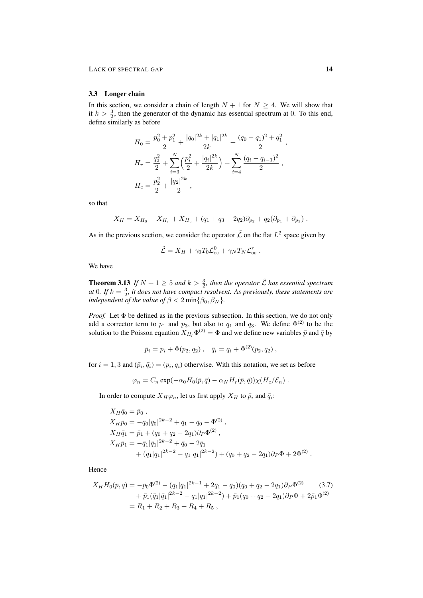## 3.3 Longer chain

In this section, we consider a chain of length  $N + 1$  for  $N \geq 4$ . We will show that if  $k > \frac{3}{2}$ , then the generator of the dynamic has essential spectrum at 0. To this end, define similarly as before

$$
H_0 = \frac{p_0^2 + p_1^2}{2} + \frac{|q_0|^{2k} + |q_1|^{2k}}{2k} + \frac{(q_0 - q_1)^2 + q_1^2}{2},
$$
  
\n
$$
H_r = \frac{q_3^2}{2} + \sum_{i=3}^N \left(\frac{p_i^2}{2} + \frac{|q_i|^{2k}}{2k}\right) + \sum_{i=4}^N \frac{(q_i - q_{i-1})^2}{2},
$$
  
\n
$$
H_c = \frac{p_2^2}{2} + \frac{|q_2|^{2k}}{2},
$$

so that

$$
X_H = X_{H_0} + X_{H_r} + X_{H_c} + (q_1 + q_3 - 2q_2)\partial_{p_2} + q_2(\partial_{p_1} + \partial_{p_3}).
$$

As in the previous section, we consider the operator  $\tilde{\mathcal{L}}$  on the flat  $L^2$  space given by

$$
\tilde{\mathcal{L}} = X_H + \gamma_0 T_0 \mathcal{L}_{\text{ou}}^0 + \gamma_N T_N \mathcal{L}_{\text{ou}}^r.
$$

We have

**Theorem 3.13** If  $N + 1 \geq 5$  and  $k > \frac{3}{2}$ , then the operator  $\tilde{\mathcal{L}}$  has essential spectrum *at* 0. If  $k = \frac{3}{2}$ , it does not have compact resolvent. As previously, these statements are *independent of the value of*  $\beta < 2 \min\{\beta_0, \beta_N\}$ *.* 

*Proof.* Let Φ be defined as in the previous subsection. In this section, we do not only add a corrector term to  $p_1$  and  $p_3$ , but also to  $q_1$  and  $q_3$ . We define  $\Phi^{(2)}$  to be the solution to the Poisson equation  $X_{H_f} \Phi^{(2)} = \Phi$  and we define new variables  $\bar{p}$  and  $\bar{q}$  by

$$
\bar{p}_i = p_i + \Phi(p_2, q_2), \quad \bar{q}_i = q_i + \Phi^{(2)}(p_2, q_2),
$$

for  $i = 1, 3$  and  $(\bar{p}_i, \bar{q}_i) = (p_i, q_i)$  otherwise. With this notation, we set as before

$$
\varphi_n = C_n \exp(-\alpha_0 H_0(\bar{p}, \bar{q}) - \alpha_N H_r(\bar{p}, \bar{q})) \chi(H_c/\mathcal{E}_n) .
$$

In order to compute  $X_H\varphi_n$ , let us first apply  $X_H$  to  $\bar{p}_i$  and  $\bar{q}_i$ :

$$
X_H \bar{q}_0 = \bar{p}_0 ,
$$
  
\n
$$
X_H \bar{p}_0 = -\bar{q}_0 |\bar{q}_0|^{2k-2} + \bar{q}_1 - \bar{q}_0 - \Phi^{(2)} ,
$$
  
\n
$$
X_H \bar{q}_1 = \bar{p}_1 + (q_0 + q_2 - 2q_1) \partial_P \Phi^{(2)} ,
$$
  
\n
$$
X_H \bar{p}_1 = -\bar{q}_1 |\bar{q}_1|^{2k-2} + \bar{q}_0 - 2\bar{q}_1
$$
  
\n
$$
+ (\bar{q}_1 |\bar{q}_1|^{2k-2} - q_1 |q_1|^{2k-2}) + (q_0 + q_2 - 2q_1) \partial_P \Phi + 2\Phi^{(2)} .
$$

Hence

$$
X_H H_0(\bar{p}, \bar{q}) = -\bar{p}_0 \Phi^{(2)} - (\bar{q}_1 |\bar{q}_1|^{2k-1} + 2\bar{q}_1 - \bar{q}_0)(q_0 + q_2 - 2q_1)\partial_P \Phi^{(2)} \qquad (3.7)
$$
  
+  $\bar{p}_1 (\bar{q}_1 |\bar{q}_1|^{2k-2} - q_1 |q_1|^{2k-2}) + \bar{p}_1 (q_0 + q_2 - 2q_1)\partial_P \Phi + 2\bar{p}_1 \Phi^{(2)}$   
=  $R_1 + R_2 + R_3 + R_4 + R_5$ ,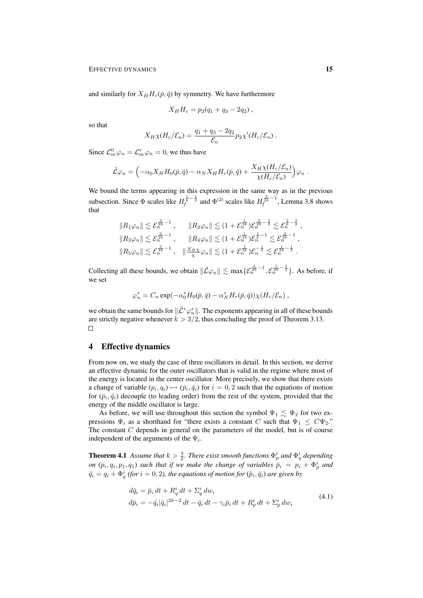and similarly for  $X_H H_r(\bar{p}, \bar{q})$  by symmetry. We have furthermore

$$
X_H H_c = p_2(q_1 + q_3 - 2q_2) ,
$$

so that

$$
X_H \chi(H_c/\mathcal{E}_n) = \frac{q_1 + q_3 - 2q_2}{\mathcal{E}_n} p_2 \chi'(H_c/\mathcal{E}_n) .
$$

Since  $\mathcal{L}_{\text{ou}}^0 \varphi_n = \mathcal{L}_{\text{ou}}^r \varphi_n = 0$ , we thus have

$$
\tilde{\mathcal{L}}\varphi_n = \left(-\alpha_0 X_H H_0(\bar{p}, \bar{q}) - \alpha_N X_H H_r(\bar{p}, \bar{q}) + \frac{X_H \chi(H_c/\mathcal{E}_n)}{\chi(H_c/\mathcal{E}_n)}\right)\varphi_n.
$$

We bound the terms appearing in this expression in the same way as in the previous subsection. Since  $\Phi$  scales like  $H_f^{\frac{1}{k}-\frac{1}{2}}$  and  $\Phi^{(2)}$  scales like  $H_f^{\frac{3}{2k}-1}$ , Lemma 3.8 shows that

$$
||R_1\varphi_n|| \lesssim \mathcal{E}_n^{\frac{3}{2k}-1} , \qquad ||R_2\varphi_n|| \lesssim (1+\mathcal{E}_n^{\frac{1}{2k}})\mathcal{E}_n^{\frac{3}{2k}-\frac{3}{2}} \lesssim \mathcal{E}_n^{\frac{2}{k}-\frac{3}{2}} ,
$$
  
 $||R_3\varphi_n|| \lesssim \mathcal{E}_n^{\frac{3}{2k}-1} , \qquad ||R_4\varphi_n|| \lesssim (1+\mathcal{E}_n^{\frac{1}{2k}})\mathcal{E}_n^{\frac{1}{k}-1} \lesssim \mathcal{E}_n^{\frac{3}{2k}-1} ,$   
 $||R_5\varphi_n|| \lesssim \mathcal{E}_n^{\frac{3}{2k}-1} , \quad ||\frac{X_{HX}}{\chi}\varphi_n|| \lesssim (1+\mathcal{E}_n^{\frac{1}{2k}})\mathcal{E}_n^{-\frac{1}{2}} \lesssim \mathcal{E}_n^{\frac{1}{2k}-\frac{1}{2}} .$ 

Collecting all these bounds, we obtain  $\|\tilde{\mathcal{L}}\varphi_n\| \lesssim \max\{\mathcal{E}_n^{\frac{3}{2k}-1}, \mathcal{E}_n^{\frac{1}{2k}-\frac{1}{2}}\}\.$  As before, if we set

$$
\varphi_n^* = C_n \exp(-\alpha_0^* H_0(\bar{p}, \bar{q}) - \alpha_N^* H_r(\bar{p}, \bar{q})) \chi(H_c/\mathcal{E}_n) ,
$$

we obtain the same bounds for  $\|\tilde{\mathcal{L}}^*\varphi_n^*\|$ . The exponents appearing in all of these bounds are strictly negative whenever  $k > 3/2$ , thus concluding the proof of Theorem 3.13.  $\Box$ 

## 4 Effective dynamics

From now on, we study the case of three oscillators in detail. In this section, we derive an effective dynamic for the outer oscillators that is valid in the regime where most of the energy is located in the center oscillator. More precisely, we show that there exists a change of variable  $(p_i, q_i) \mapsto (\bar{p}_i, \bar{q}_i)$  for  $i = 0, 2$  such that the equations of motion for  $(\bar{p}_i, \bar{q}_i)$  decouple (to leading order) from the rest of the system, provided that the energy of the middle oscillator is large.

As before, we will use throughout this section the symbol  $\Psi_1 \lesssim \Psi_2$  for two expressions  $\Psi_i$  as a shorthand for "there exists a constant C such that  $\Psi_1 \leq C\Psi_2$ ." The constant  $C$  depends in general on the parameters of the model, but is of course independent of the arguments of the  $\Psi_i$ .

**Theorem 4.1** Assume that  $k > \frac{3}{2}$ . There exist smooth functions  $\Phi_p^i$  and  $\Phi_q^i$  depending *on*  $(p_i, q_i, p_1, q_1)$  *such that if we make the change of variables*  $\bar{p}_i = p_i + \Phi_p^i$  *and*  $\bar{q}_i = q_i + \Phi_q^i$  (for  $i = 0, 2$ ), the equations of motion for  $(\bar{p}_i, \bar{q}_i)$  are given by

$$
d\bar{q}_i = \bar{p}_i dt + R_q^i dt + \Sigma_q^i dw_i
$$
  
\n
$$
d\bar{p}_i = -\bar{q}_i |\bar{q}_i|^{2k-2} dt - \bar{q}_i dt - \gamma_i \bar{p}_i dt + R_p^i dt + \Sigma_p^i dw_i
$$
\n(4.1)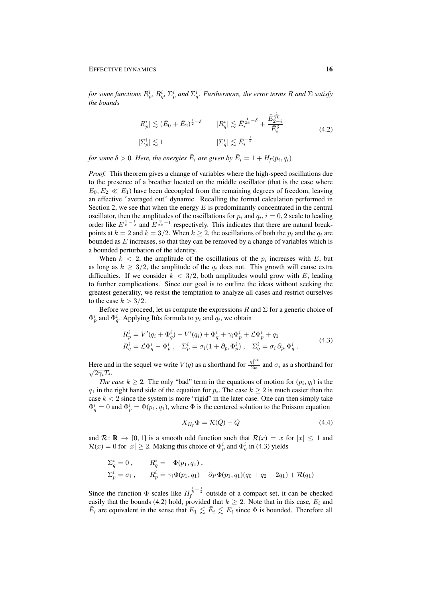for some functions  $R_p^i$ ,  $R_q^i$ ,  $\Sigma_p^i$  and  $\Sigma_q^i$ . Furthermore, the error terms  $R$  and  $\Sigma$  satisfy *the bounds*

$$
|R_p^i| \lesssim (\bar{E}_0 + \bar{E}_2)^{\frac{1}{2} - \delta} \qquad |R_q^i| \lesssim \bar{E}_i^{\frac{1}{2k} - \delta} + \frac{\bar{E}_2^{\frac{1}{2k}}}{\bar{E}_i^{\delta}}
$$
  

$$
|\Sigma_p^i| \lesssim 1 \qquad \qquad |\Sigma_q^i| \lesssim \bar{E}_i^{-\frac{1}{2}} \qquad (4.2)
$$

for some  $\delta > 0$ . Here, the energies  $\bar{E}_i$  are given by  $\bar{E}_i = 1 + H_f(\bar{p}_i, \bar{q}_i)$ .

*Proof.* This theorem gives a change of variables where the high-speed oscillations due to the presence of a breather located on the middle oscillator (that is the case where  $E_0, E_2 \ll E_1$ ) have been decoupled from the remaining degrees of freedom, leaving an effective "averaged out" dynamic. Recalling the formal calculation performed in Section 2, we see that when the energy  $E$  is predominantly concentrated in the central oscillator, then the amplitudes of the oscillations for  $p_i$  and  $q_i$ ,  $i = 0, 2$  scale to leading order like  $E^{\frac{1}{k}-\frac{1}{2}}$  and  $E^{\frac{3}{2k}-1}$  respectively. This indicates that there are natural breakpoints at  $k = 2$  and  $k = 3/2$ . When  $k \ge 2$ , the oscillations of both the  $p_i$  and the  $q_i$  are bounded as  $E$  increases, so that they can be removed by a change of variables which is a bounded perturbation of the identity.

When  $k < 2$ , the amplitude of the oscillations of the  $p_i$  increases with E, but as long as  $k \geq 3/2$ , the amplitude of the  $q_i$  does not. This growth will cause extra difficulties. If we consider  $k < 3/2$ , both amplitudes would grow with E, leading to further complications. Since our goal is to outline the ideas without seeking the greatest generality, we resist the temptation to analyze all cases and restrict ourselves to the case  $k > 3/2$ .

Before we proceed, let us compute the expressions R and  $\Sigma$  for a generic choice of  $\Phi_p^i$  and  $\Phi_q^i$ . Applying Itôs formula to  $\bar{p}_i$  and  $\bar{q}_i$ , we obtain

$$
R_p^i = V'(q_i + \Phi_q^i) - V'(q_i) + \Phi_q^i + \gamma_i \Phi_p^i + \mathcal{L}\Phi_p^i + q_1
$$
  
\n
$$
R_q^i = \mathcal{L}\Phi_q^i - \Phi_p^i, \quad \Sigma_p^i = \sigma_i(1 + \partial_{p_i}\Phi_p^i), \quad \Sigma_q^i = \sigma_i \partial_{p_i}\Phi_q^i.
$$
\n(4.3)

Here and in the sequel we write  $V(q)$  as a shorthand for  $\frac{|q|^{2k}}{2k}$ Here and in the sequel we write  $V(q)$  as a shorthand for  $\frac{|q|}{2k}$  and  $\sigma_i$  as a shorthand for  $\overline{2\gamma_iT_i}.$ 

*The case*  $k \geq 2$ . The only "bad" term in the equations of motion for  $(p_i, q_i)$  is the  $q_1$  in the right hand side of the equation for  $p_i$ . The case  $k \geq 2$  is much easier than the case  $k < 2$  since the system is more "rigid" in the later case. One can then simply take  $\Phi_q^i = 0$  and  $\Phi_p^i = \Phi(p_1, q_1)$ , where  $\Phi$  is the centered solution to the Poisson equation

$$
X_{H_f} \Phi = \mathcal{R}(Q) - Q \tag{4.4}
$$

and  $\mathcal{R} \colon \mathbf{R} \to [0, 1]$  is a smooth odd function such that  $\mathcal{R}(x) = x$  for  $|x| \leq 1$  and  $\mathcal{R}(x) = 0$  for  $|x| \ge 2$ . Making this choice of  $\Phi_p^i$  and  $\Phi_q^i$  in (4.3) yields

$$
\Sigma_q^i = 0, \qquad R_q^i = -\Phi(p_1, q_1),
$$
  
\n
$$
\Sigma_p^i = \sigma_i, \qquad R_p^i = \gamma_i \Phi(p_1, q_1) + \partial_P \Phi(p_1, q_1)(q_0 + q_2 - 2q_1) + \mathcal{R}(q_1)
$$

Since the function  $\Phi$  scales like  $H_f^{\frac{1}{k}-\frac{1}{2}}$  outside of a compact set, it can be checked easily that the bounds (4.2) hold, provided that  $k \geq 2$ . Note that in this case,  $E_i$  and  $\bar{E}_i$  are equivalent in the sense that  $E_1 \lesssim \bar{E}_i \lesssim E_i$  since  $\Phi$  is bounded. Therefore all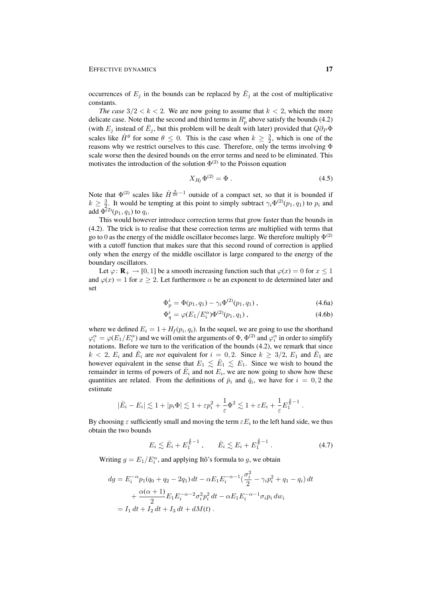occurrences of  $E_j$  in the bounds can be replaced by  $\overline{E}_j$  at the cost of multiplicative constants.

*The case*  $3/2 < k < 2$ . We are now going to assume that  $k < 2$ , which the more delicate case. Note that the second and third terms in  $R_p^i$  above satisfy the bounds (4.2) (with  $E_j$  instead of  $\bar{E}_j$ , but this problem will be dealt with later) provided that  $Q\partial_P\Phi$ scales like  $\hat{H}^{\theta}$  for some  $\theta \leq 0$ . This is the case when  $k \geq \frac{3}{2}$ , which is one of the reasons why we restrict ourselves to this case. Therefore, only the terms involving Φ scale worse then the desired bounds on the error terms and need to be eliminated. This motivates the introduction of the solution  $\Phi^{(2)}$  to the Poisson equation

$$
X_{H_f} \Phi^{(2)} = \Phi \ . \tag{4.5}
$$

Note that  $\Phi^{(2)}$  scales like  $\hat{H}^{\frac{3}{2k}-1}$  outside of a compact set, so that it is bounded if  $k \geq \frac{3}{2}$ . It would be tempting at this point to simply subtract  $\gamma_i \Phi^{(2)}(p_1, q_1)$  to  $p_i$  and add  $\Phi^{(2)}(p_1, q_1)$  to  $q_i$ .

This would however introduce correction terms that grow faster than the bounds in (4.2). The trick is to realise that these correction terms are multiplied with terms that go to 0 as the energy of the middle oscillator becomes large. We therefore multiply  $\Phi^{(2)}$ with a cutoff function that makes sure that this second round of correction is applied only when the energy of the middle oscillator is large compared to the energy of the boundary oscillators.

Let  $\varphi: \mathbf{R}_{+} \to [0, 1]$  be a smooth increasing function such that  $\varphi(x) = 0$  for  $x \le 1$ and  $\varphi(x) = 1$  for  $x > 2$ . Let furthermore  $\alpha$  be an exponent to de determined later and set

$$
\Phi_p^i = \Phi(p_1, q_1) - \gamma_i \Phi^{(2)}(p_1, q_1) , \qquad (4.6a)
$$

$$
\Phi_q^i = \varphi(E_1/E_i^{\alpha})\Phi^{(2)}(p_1, q_1), \qquad (4.6b)
$$

where we defined  $E_i = 1 + H_f(p_i, q_i)$ . In the sequel, we are going to use the shorthand  $\varphi_i^{\alpha} = \varphi(E_1/E_i^{\alpha})$  and we will omit the arguments of  $\Phi$ ,  $\Phi^{(2)}$  and  $\varphi_i^{\alpha}$  in order to simplify notations. Before we turn to the verification of the bounds (4.2), we remark that since  $k < 2$ ,  $E_i$  and  $\overline{E}_i$  are *not* equivalent for  $i = 0, 2$ . Since  $k \ge 3/2$ ,  $E_1$  and  $\overline{E}_1$  are however equivalent in the sense that  $E_1 \lesssim \bar{E}_1 \lesssim E_1$ . Since we wish to bound the remainder in terms of powers of  $\overline{E}_i$  and not  $E_i$ , we are now going to show how these quantities are related. From the definitions of  $\bar{p}_i$  and  $\bar{q}_i$ , we have for  $i = 0, 2$  the estimate

$$
|\bar{E}_i - E_i| \lesssim 1 + |p_i \Phi| \lesssim 1 + \varepsilon p_i^2 + \frac{1}{\varepsilon} \Phi^2 \lesssim 1 + \varepsilon E_i + \frac{1}{\varepsilon} E_1^{\frac{2}{k} - 1}.
$$

By choosing  $\varepsilon$  sufficiently small and moving the term  $\varepsilon E_i$  to the left hand side, we thus obtain the two bounds

$$
E_i \lesssim \bar{E}_i + E_1^{\frac{2}{k}-1} \,, \qquad \bar{E}_i \lesssim E_i + E_1^{\frac{2}{k}-1} \,. \tag{4.7}
$$

Writing  $g = E_1/E_i^{\alpha}$ , and applying Itô's formula to g, we obtain

$$
dg = E_i^{-\alpha} p_1(q_0 + q_2 - 2q_1) dt - \alpha E_1 E_i^{-\alpha - 1} \left(\frac{\sigma_i^2}{2} - \gamma_i p_i^2 + q_1 - q_i\right) dt
$$
  
+ 
$$
\frac{\alpha(\alpha + 1)}{2} E_1 E_i^{-\alpha - 2} \sigma_i^2 p_i^2 dt - \alpha E_1 E_i^{-\alpha - 1} \sigma_i p_i dw_i
$$
  
=  $I_1 dt + I_2 dt + I_3 dt + dM(t)$ .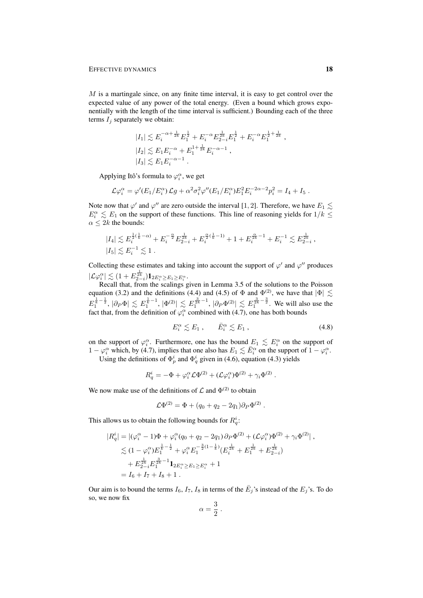$M$  is a martingale since, on any finite time interval, it is easy to get control over the expected value of any power of the total energy. (Even a bound which grows exponentially with the length of the time interval is sufficient.) Bounding each of the three terms  $I_i$  separately we obtain:

$$
|I_1| \lesssim E_i^{-\alpha + \frac{1}{2k}} E_1^{\frac{1}{2}} + E_i^{-\alpha} E_{2-i}^{\frac{1}{2k}} E_1^{\frac{1}{2}} + E_i^{-\alpha} E_1^{\frac{1}{2} + \frac{1}{2k}} ,
$$
  
\n
$$
|I_2| \lesssim E_1 E_i^{-\alpha} + E_1^{1 + \frac{1}{2k}} E_i^{-\alpha - 1} ,
$$
  
\n
$$
|I_3| \lesssim E_1 E_i^{-\alpha - 1} .
$$

Applying Itô's formula to  $\varphi_i^{\alpha}$ , we get

$$
\mathcal{L}\varphi_i^{\alpha} = \varphi'(E_1/E_i^{\alpha})\mathcal{L}g + \alpha^2 \sigma_i^2 \varphi''(E_1/E_i^{\alpha})E_1^2 E_i^{-2\alpha-2} p_i^2 = I_4 + I_5.
$$

Note now that  $\varphi'$  and  $\varphi''$  are zero outside the interval [1, 2]. Therefore, we have  $E_1 \lesssim$  $E_i^{\alpha} \lesssim E_1$  on the support of these functions. This line of reasoning yields for  $1/k \leq$  $\alpha \leq 2k$  the bounds:

$$
\begin{aligned} &|I_4|\lesssim E_i^{\frac{1}{2}(\frac{1}{k}-\alpha)}+E_i^{-\frac{\alpha}{2}}E_{2-i}^{\frac{1}{2k}}+E_i^{\frac{\alpha}{2}(\frac{1}{k}-1)}+1+E_i^{\frac{\alpha}{2k}-1}+E_i^{-1}\lesssim E_{2-i}^{\frac{1}{2k}}\,,\\ &|I_5|\lesssim E_i^{-1}\lesssim 1\;.\end{aligned}
$$

Collecting these estimates and taking into account the support of  $\varphi'$  and  $\varphi''$  produces  $|\mathcal{L}\varphi_i^{\alpha}| \lesssim (1+E_{2-i}^{\frac{1}{2k}})\mathbf{1}_{2E_i^{\alpha} \geq E_1 \geq E_i^{\alpha}}.$ 

Recall that, from the scalings given in Lemma 3.5 of the solutions to the Poisson equation (3.2) and the definitions (4.4) and (4.5) of  $\Phi$  and  $\Phi^{(2)}$ , we have that  $|\Phi| \lesssim$  $E_1^{\frac{1}{k}-\frac{1}{2}}$ ,  $|\partial_P \Phi| \leq E_1^{\frac{1}{k}-1}$ ,  $|\Phi^{(2)}| \leq E_1^{\frac{3}{2k}-1}$ ,  $|\partial_P \Phi^{(2)}| \leq E_1^{\frac{3}{2k}-\frac{3}{2}}$ . We will also use the fact that, from the definition of  $\varphi_i^{\alpha}$  combined with (4.7), one has both bounds

$$
E_i^{\alpha} \lesssim E_1 \,, \qquad \bar{E}_i^{\alpha} \lesssim E_1 \,, \tag{4.8}
$$

on the support of  $\varphi_i^{\alpha}$ . Furthermore, one has the bound  $E_1 \leq E_i^{\alpha}$  on the support of  $1 - \varphi_i^{\alpha}$  which, by (4.7), implies that one also has  $E_1 \lesssim \bar{E}_i^{\alpha}$  on the support of  $1 - \varphi_i^{\alpha}$ .

Using the definitions of  $\Phi_p^i$  and  $\Phi_q^i$  given in (4.6), equation (4.3) yields

$$
R_q^i = -\Phi + \varphi_i^{\alpha} \mathcal{L} \Phi^{(2)} + (\mathcal{L} \varphi_i^{\alpha}) \Phi^{(2)} + \gamma_i \Phi^{(2)}.
$$

We now make use of the definitions of  $\mathcal L$  and  $\Phi^{(2)}$  to obtain

$$
\mathcal{L}\Phi^{(2)} = \Phi + (q_0 + q_2 - 2q_1)\partial_P\Phi^{(2)}.
$$

This allows us to obtain the following bounds for  $R_q^i$ :

$$
|R_q^i| = |(\varphi_i^{\alpha} - 1)\Phi + \varphi_i^{\alpha}(q_0 + q_2 - 2q_1) \partial_P \Phi^{(2)} + (\mathcal{L}\varphi_i^{\alpha})\Phi^{(2)} + \gamma_i \Phi^{(2)}|,
$$
  
\n
$$
\lesssim (1 - \varphi_i^{\alpha})E_1^{\frac{1}{k} - \frac{1}{2}} + \varphi_i^{\alpha} E_1^{-\frac{3}{2}(1 - \frac{1}{k})} (E_i^{\frac{1}{2k}} + E_1^{\frac{1}{2k}} + E_{2 - i}^{\frac{1}{2k}})
$$
  
\n
$$
+ E_{2 - i}^{\frac{1}{2k}} E_1^{\frac{3}{2k} - 1} \mathbf{1}_{2E_i^{\alpha} \ge E_1 \ge E_i^{\alpha}} + 1
$$
  
\n
$$
= I_6 + I_7 + I_8 + 1.
$$

Our aim is to bound the terms  $I_6$ ,  $I_7$ ,  $I_8$  in terms of the  $\overline{E}_j$ 's instead of the  $E_j$ 's. To do so, we now fix

$$
\alpha = \frac{3}{2} \; .
$$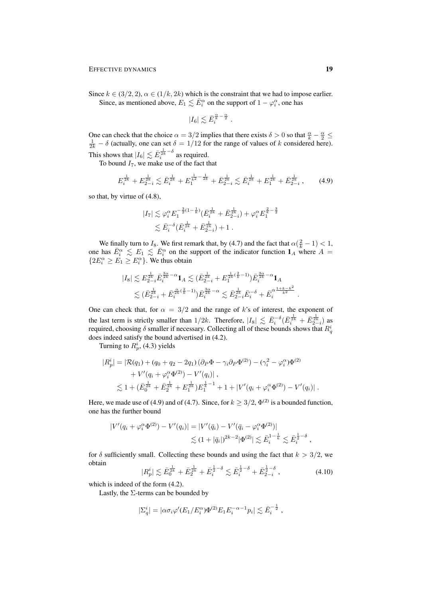Since  $k \in (3/2, 2)$ ,  $\alpha \in (1/k, 2k)$  which is the constraint that we had to impose earlier. Since, as mentioned above,  $E_1 \lesssim \bar{E}_i^{\alpha}$  on the support of  $1 - \varphi_i^{\alpha}$ , one has

$$
|I_6|\lesssim \bar{E}_i^{\frac{\alpha}{k}-\frac{\alpha}{2}}
$$

One can check that the choice  $\alpha = 3/2$  implies that there exists  $\delta > 0$  so that  $\frac{\alpha}{k} - \frac{\alpha}{2} \le \frac{1}{2k} - \delta$  (actually, one can set  $\delta = 1/12$  for the range of values of k considered here). This shows that  $|I_6| \lesssim \bar{E}_i^{\frac{1}{2k} - \delta}$  as required.

To bound  $I_7$ , we make use of the fact that

$$
E_{i}^{\frac{1}{2k}} + E_{2-i}^{\frac{1}{2k}} \lesssim \bar{E}_{i}^{\frac{1}{2k}} + E_{1}^{\frac{1}{k^{2}} - \frac{1}{2k}} + \bar{E}_{2-i}^{\frac{1}{2k}} \lesssim \bar{E}_{i}^{\frac{1}{2k}} + E_{1}^{\frac{1}{2k}} + \bar{E}_{2-i}^{\frac{1}{2k}} ,\qquad(4.9)
$$

.

so that, by virtue of (4.8),

$$
|I_7| \lesssim \varphi_i^{\alpha} E_1^{-\frac{3}{2}(1-\frac{1}{k})} (\bar{E}_i^{\frac{1}{2k}} + \bar{E}_{2-i}^{\frac{1}{2k}}) + \varphi_i^{\alpha} E_1^{\frac{2}{k} - \frac{3}{2}}
$$
  

$$
\lesssim \bar{E}_i^{-\delta} (\bar{E}_i^{\frac{1}{2k}} + \bar{E}_{2-i}^{\frac{1}{2k}}) + 1.
$$

We finally turn to  $I_8$ . We first remark that, by (4.7) and the fact that  $\alpha(\frac{2}{k} - 1) < 1$ , one has  $\bar{E}_i^{\alpha} \leq E_1 \leq \bar{E}_i^{\alpha}$  on the support of the indicator function  $\mathbf{1}_A$  where  $A =$  ${2E_i^{\alpha} \ge E_1 \ge E_i^{\alpha}}$ . We thus obtain

$$
\begin{aligned} |I_8| \lesssim E_{2-i}^{\frac{1}{2k}} \bar{E}_i^{\frac{3\alpha}{2k} - \alpha} \mathbf{1}_A \lesssim (\bar{E}_{2-i}^{\frac{1}{2k}} + E_1^{\frac{1}{2k}(\frac{2}{k}-1)}) \bar{E}_i^{\frac{3\alpha}{2k} - \alpha} \mathbf{1}_A \\ \lesssim (\bar{E}_{2-i}^{\frac{1}{2k}} + \bar{E}_i^{\frac{\alpha}{2k}(\frac{2}{k}-1)}) \bar{E}_i^{\frac{3\alpha}{2k} - \alpha} \lesssim \bar{E}_{2-i}^{\frac{1}{2k}} \bar{E}_i^{-\delta} + \bar{E}_i^{\alpha \frac{1+k-k^2}{k^2}} \end{aligned}
$$

One can check that, for  $\alpha = 3/2$  and the range of k's of interest, the exponent of the last term is strictly smaller than  $1/2k$ . Therefore,  $|I_8| \lesssim \bar{E}_i^{-\delta} (\bar{E}_i^{\frac{1}{2k}} + \bar{E}_{2-i}^{\frac{1}{2k}})$  as required, choosing  $\delta$  smaller if necessary. Collecting all of these bounds shows that  $R_q^i$ does indeed satisfy the bound advertised in (4.2).

Turning to  $R_p^i$ , (4.3) yields

$$
|R_p^i| = |\mathcal{R}(q_1) + (q_0 + q_2 - 2q_1)(\partial_P \Phi - \gamma_i \partial_P \Phi^{(2)}) - (\gamma_i^2 - \varphi_i^{\alpha}) \Phi^{(2)} + V'(q_i + \varphi_i^{\alpha} \Phi^{(2)}) - V'(q_i)|,
$$
  

$$
\lesssim 1 + (\bar{E}_0^{\frac{1}{2k}} + \bar{E}_2^{\frac{1}{2k}} + E_1^{\frac{1}{2k}}) E_1^{\frac{1}{k} - 1} + 1 + |V'(q_i + \varphi_i^{\alpha} \Phi^{(2)}) - V'(q_i)|.
$$

Here, we made use of (4.9) and of (4.7). Since, for  $k \geq 3/2$ ,  $\Phi^{(2)}$  is a bounded function, one has the further bound

$$
|V'(q_i + \varphi_i^{\alpha} \Phi^{(2)}) - V'(q_i)| = |V'(\bar{q}_i) - V'(\bar{q}_i - \varphi_i^{\alpha} \Phi^{(2)})|
$$
  
\$\leq (1 + |\bar{q}\_i|)^{2k-2} |\Phi^{(2)}| \lesssim \bar{E}\_i^{1-\frac{1}{k}} \lesssim \bar{E}\_i^{\frac{1}{2}-\delta},

for  $\delta$  sufficiently small. Collecting these bounds and using the fact that  $k > 3/2$ , we obtain

$$
|R_p^i| \lesssim \bar{E}_0^{\frac{1}{2k}} + \bar{E}_2^{\frac{1}{2k}} + \bar{E}_i^{\frac{1}{2} - \delta} \lesssim \bar{E}_i^{\frac{1}{2} - \delta} + \bar{E}_{2-i}^{\frac{1}{2} - \delta} ,\qquad (4.10)
$$

which is indeed of the form (4.2).

Lastly, the Σ-terms can be bounded by

$$
|\Sigma_q^i| = |\alpha \sigma_i \varphi'(E_1/E_i^{\alpha}) \Phi^{(2)} E_1 E_i^{-\alpha-1} p_i| \lesssim \bar{E}_i^{-\frac{1}{2}} ,
$$

.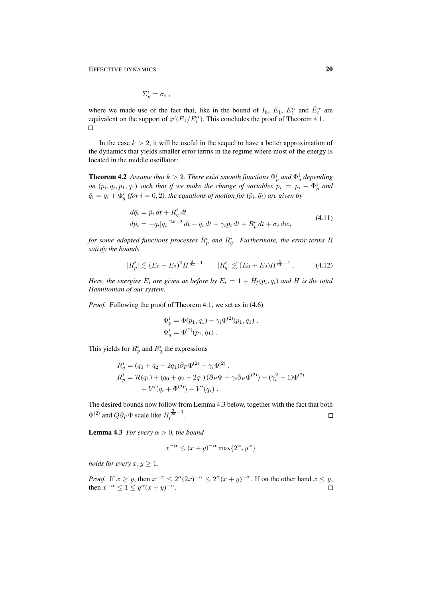$$
\Sigma_p^i = \sigma_i \; ,
$$

where we made use of the fact that, like in the bound of  $I_8$ ,  $E_1$ ,  $E_1^{\alpha}$  and  $\overline{E}_i^{\alpha}$  are equivalent on the support of  $\varphi'(E_1/E_i^{\alpha})$ . This concludes the proof of Theorem 4.1.  $\Box$ 

In the case  $k > 2$ , it will be useful in the sequel to have a better approximation of the dynamics that yields smaller error terms in the regime where most of the energy is located in the middle oscillator:

**Theorem 4.2** Assume that  $k > 2$ . There exist smooth functions  $\Phi_p^i$  and  $\Phi_q^i$  depending *on*  $(p_i, q_i, p_1, q_1)$  *such that if we make the change of variables*  $\bar{p}_i = p_i + \Phi_p^i$  *and*  $\bar{q}_i = q_i + \Phi_q^i$  (for  $i = 0, 2$ ), the equations of motion for  $(\bar{p}_i, \bar{q}_i)$  are given by

$$
d\bar{q}_i = \bar{p}_i dt + R_q^i dt
$$
  
\n
$$
d\bar{p}_i = -\bar{q}_i |\bar{q}_i|^{2k-2} dt - \bar{q}_i dt - \gamma_i \bar{p}_i dt + R_p^i dt + \sigma_i dw_i
$$
\n(4.11)

for some adapted functions processes  $R_p^i$  and  $R_q^i$ . Furthermore, the error terms  $R$ *satisfy the bounds*

$$
|R_p^i| \lesssim (E_0 + E_2)^2 H^{\frac{3}{2k} - 1} \qquad |R_q^i| \lesssim (E_0 + E_2) H^{\frac{3}{2k} - 1} \,. \tag{4.12}
$$

*Here, the energies*  $E_i$  are given as before by  $E_i = 1 + H_f(\bar{p}_i, \bar{q}_i)$  and H is the total *Hamiltonian of our system.*

*Proof.* Following the proof of Theorem 4.1, we set as in  $(4.6)$ 

$$
\Phi_p^i = \Phi(p_1, q_1) - \gamma_i \Phi^{(2)}(p_1, q_1) ,
$$
  

$$
\Phi_q^i = \Phi^{(2)}(p_1, q_1) .
$$

This yields for  $R_p^i$  and  $R_q^i$  the expressions

$$
R_q^i = (q_0 + q_2 - 2q_1)\partial_P \Phi^{(2)} + \gamma_i \Phi^{(2)},
$$
  
\n
$$
R_p^i = \mathcal{R}(q_1) + (q_0 + q_2 - 2q_1)(\partial_P \Phi - \gamma_i \partial_P \Phi^{(2)}) - (\gamma_i^2 - 1)\Phi^{(2)} + V'(q_i + \Phi^{(2)}) - V'(q_i).
$$

The desired bounds now follow from Lemma 4.3 below, together with the fact that both  $\Phi^{(2)}$  and  $Q \partial_P \Phi$  scale like  $H_f^{\frac{3}{2k}-1}$ .  $\Box$ 

**Lemma 4.3** *For every*  $\alpha > 0$ *, the bound* 

$$
x^{-\alpha} \le (x+y)^{-\alpha} \max\{2^{\alpha}, y^{\alpha}\}\
$$

*holds for every*  $x, y \geq 1$ *.* 

*Proof.* If  $x \geq y$ , then  $x^{-\alpha} \leq 2^{\alpha} (2x)^{-\alpha} \leq 2^{\alpha} (x+y)^{-\alpha}$ . If on the other hand  $x \leq y$ , then  $x^{-\alpha} \leq 1 \leq y^{\alpha} (x+y)^{-\alpha}$ .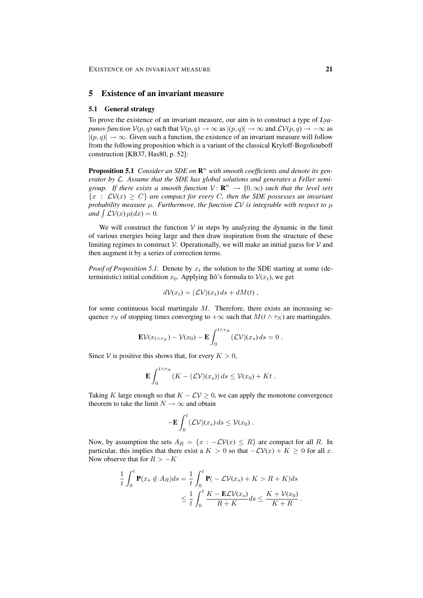## 5 Existence of an invariant measure

#### 5.1 General strategy

To prove the existence of an invariant measure, our aim is to construct a type of *Lyapunov function*  $V(p,q)$  such that  $V(p,q) \to \infty$  as  $|(p,q)| \to \infty$  and  $\mathcal{LV}(p,q) \to -\infty$  as  $|(p, q)| \rightarrow \infty$ . Given such a function, the existence of an invariant measure will follow from the following proposition which is a variant of the classical Kryloff-Bogoliouboff construction [KB37, Has80, p. 52]:

**Proposition 5.1** *Consider an SDE on*  $\mathbb{R}^n$  *with smooth coefficients and denote its generator by* L*. Assume that the SDE has global solutions and generates a Feller semigroup.* If there exists a smooth function  $V: \mathbb{R}^n \to [0, \infty)$  such that the level sets  ${x : LV(x) > C}$  are compact for every C, then the SDE possesses an invariant *probability measure*  $\mu$ *. Furthermore, the function*  $\mathcal{L}V$  *is integrable with respect to*  $\mu$ *and*  $\int$   $\mathcal{L}V(x) \mu(dx) = 0$ .

We will construct the function  $V$  in steps by analyzing the dynamic in the limit of various energies being large and then draw inspiration from the structure of these limiting regimes to construct  $V$ . Operationally, we will make an initial guess for  $V$  and then augment it by a series of correction terms.

*Proof of Proposition 5.1.* Denote by  $x_t$  the solution to the SDE starting at some (deterministic) initial condition  $x_0$ . Applying Itô's formula to  $V(x_t)$ , we get

$$
dV(x_t) = (\mathcal{L}V)(x_t) ds + dM(t),
$$

for some continuous local martingale  $M$ . Therefore, there exists an increasing sequence  $\tau_N$  of stopping times converging to  $+\infty$  such that  $M(t \wedge \tau_N)$  are martingales.

$$
\mathbf{E}\mathcal{V}(x_{t\wedge\tau_N})-\mathcal{V}(x_0)-\mathbf{E}\int_0^{t\wedge\tau_N}(\mathcal{L}\mathcal{V})(x_s)\,ds=0.
$$

Since V is positive this shows that, for every  $K > 0$ ,

$$
\mathbf{E}\int_0^{t\wedge\tau_N}(K-(\mathcal{L}\mathcal{V})(x_s))\,ds\leq \mathcal{V}(x_0)+Kt\;.
$$

Taking K large enough so that  $K - LV \geq 0$ , we can apply the monotone convergence theorem to take the limit  $N \to \infty$  and obtain

$$
-\mathbf{E}\int_0^t (\mathcal{L}\mathcal{V})(x_s) ds \leq \mathcal{V}(x_0) .
$$

Now, by assumption the sets  $A_R = \{x : -\mathcal{L}V(x) \leq R\}$  are compact for all R. In particular, this implies that there exist a  $K > 0$  so that  $-\mathcal{L}V(x) + K \geq 0$  for all x. Now observe that for  $R > -K$ 

$$
\frac{1}{t} \int_0^t \mathbf{P}(x_s \notin A_R) ds = \frac{1}{t} \int_0^t \mathbf{P}(-\mathcal{L}\mathcal{V}(x_s) + K > R + K) ds
$$
  

$$
\leq \frac{1}{t} \int_0^t \frac{K - \mathbf{E}\mathcal{L}\mathcal{V}(x_s)}{R + K} ds \leq \frac{K + \mathcal{V}(x_0)}{K + R}.
$$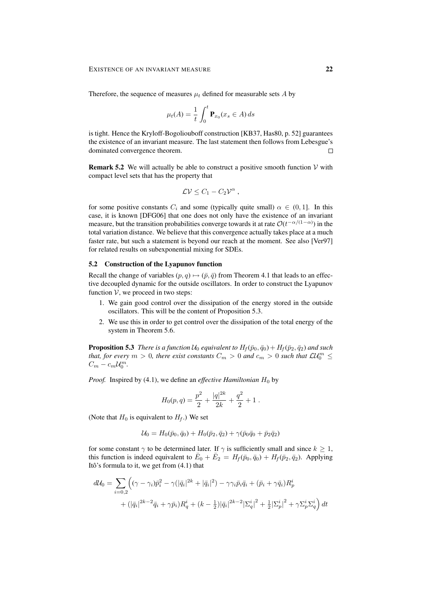Therefore, the sequence of measures  $\mu_t$  defined for measurable sets A by

$$
\mu_t(A) = \frac{1}{t} \int_0^t \mathbf{P}_{x_0}(x_s \in A) ds
$$

is tight. Hence the Kryloff-Bogoliouboff construction [KB37, Has80, p. 52] guarantees the existence of an invariant measure. The last statement then follows from Lebesgue's dominated convergence theorem.  $\Box$ 

**Remark 5.2** We will actually be able to construct a positive smooth function  $V$  with compact level sets that has the property that

$$
\mathcal{L}\mathcal{V}\leq C_1-C_2\mathcal{V}^{\alpha},
$$

for some positive constants  $C_i$  and some (typically quite small)  $\alpha \in (0, 1]$ . In this case, it is known [DFG06] that one does not only have the existence of an invariant measure, but the transition probabilities converge towards it at rate  $\mathcal{O}(t^{-\alpha/(1-\alpha)})$  in the total variation distance. We believe that this convergence actually takes place at a much faster rate, but such a statement is beyond our reach at the moment. See also [Ver97] for related results on subexponential mixing for SDEs.

#### 5.2 Construction of the Lyapunov function

Recall the change of variables  $(p, q) \mapsto (\bar{p}, \bar{q})$  from Theorem 4.1 that leads to an effective decoupled dynamic for the outside oscillators. In order to construct the Lyapunov function  $V$ , we proceed in two steps:

- 1. We gain good control over the dissipation of the energy stored in the outside oscillators. This will be the content of Proposition 5.3.
- 2. We use this in order to get control over the dissipation of the total energy of the system in Theorem 5.6.

**Proposition 5.3** *There is a function*  $U_0$  *equivalent to*  $H_f(\bar{p}_0, \bar{q}_0) + H_f(\bar{p}_2, \bar{q}_2)$  *and such that, for every*  $m > 0$ , there exist constants  $C_m > 0$  and  $c_m > 0$  such that  $\mathcal{L} \mathcal{U}_0^m \leq$  $C_m - c_m \mathcal{U}_0^m.$ 

*Proof.* Inspired by (4.1), we define an *effective Hamiltonian*  $H_0$  by

$$
H_0(p,q) = \frac{p^2}{2} + \frac{|q|^{2k}}{2k} + \frac{q^2}{2} + 1.
$$

(Note that  $H_0$  is equivalent to  $H_f$ .) We set

$$
\mathcal{U}_0 = H_0(\bar{p}_0, \bar{q}_0) + H_0(\bar{p}_2, \bar{q}_2) + \gamma(\bar{p}_0\bar{q}_0 + \bar{p}_2\bar{q}_2)
$$

for some constant  $\gamma$  to be determined later. If  $\gamma$  is sufficiently small and since  $k \geq 1$ , this function is indeed equivalent to  $\bar{E}_0 + \bar{E}_2 = H_f(\bar{p}_0, \bar{q}_0) + H_f(\bar{p}_2, \bar{q}_2)$ . Applying Itô's formula to it, we get from  $(4.1)$  that

$$
d\mathcal{U}_0 = \sum_{i=0,2} \left( (\gamma - \gamma_i) \bar{p}_i^2 - \gamma (|\bar{q}_i|^{2k} + |\bar{q}_i|^2) - \gamma \gamma_i \bar{p}_i \bar{q}_i + (\bar{p}_i + \gamma \bar{q}_i) R_p^i \right. \\
\left. + (|\bar{q}_i|^{2k-2} \bar{q}_i + \gamma \bar{p}_i) R_q^i + (k - \frac{1}{2}) |\bar{q}_i|^{2k-2} |\Sigma_q^i|^2 + \frac{1}{2} |\Sigma_p^i|^2 + \gamma \Sigma_p^i \Sigma_q^i \right) dt
$$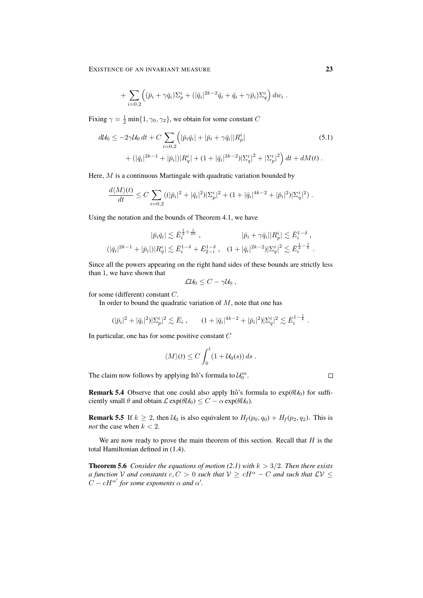+ 
$$
\sum_{i=0,2} \left( (\bar{p}_i + \gamma \bar{q}_i) \Sigma_p^i + (|\bar{q}_i|^{2k-2} \bar{q}_i + \bar{q}_i + \gamma \bar{p}_i) \Sigma_q^i \right) dw_i
$$
.

Fixing  $\gamma = \frac{1}{2} \min\{1, \gamma_0, \gamma_2\}$ , we obtain for some constant C

$$
d\mathcal{U}_0 \le -2\gamma \mathcal{U}_0 dt + C \sum_{i=0,2} \left( |\bar{p}_i \bar{q}_i| + |\bar{p}_i + \gamma \bar{q}_i| |R_p^i| \right) \tag{5.1}
$$

$$
+ (|\bar{q}_i|^{2k-1} + |\bar{p}_i|) |R_q^i| + (1 + |\bar{q}_i|^{2k-2}) |\Sigma_q^i|^2 + |\Sigma_p^i|^2 \right) dt + dM(t) .
$$

Here, M is a continuous Martingale with quadratic variation bounded by

$$
\frac{d\langle M \rangle(t)}{dt} \leq C \sum_{i=0,2} ((|\bar{p}_i|^2 + |\bar{q}_i|^2) |\Sigma_p^i|^2 + (1 + |\bar{q}_i|^{4k-2} + |\bar{p}_i|^2) |\Sigma_q^i|^2).
$$

Using the notation and the bounds of Theorem 4.1, we have

$$
|\bar{p}_i \bar{q}_i| \lesssim \bar{E}_i^{\frac{1}{2} + \frac{1}{2k}} , \qquad |\bar{p}_i + \gamma \bar{q}_i| |R_p^i| \lesssim \bar{E}_i^{1-\delta} ,
$$
  

$$
(|\bar{q}_i|^{2k-1} + |\bar{p}_i|) |R_q^i| \lesssim \bar{E}_i^{1-\delta} + \bar{E}_{2-i}^{1-\delta} , \quad (1 + |\bar{q}_i|^{2k-2}) |\Sigma_q^i|^2 \lesssim \bar{E}_i^{\frac{1}{2} - \frac{1}{k}} .
$$

Since all the powers appearing on the right hand sides of these bounds are strictly less than 1, we have shown that

$$
\mathcal{L}\mathcal{U}_0\leq C-\gamma\mathcal{U}_0\ ,
$$

for some (different) constant C.

In order to bound the quadratic variation of  $M$ , note that one has

$$
(|\bar{p}_i|^2 + |\bar{q}_i|^2) |\Sigma_p^i|^2 \lesssim \bar{E}_i , \qquad (1 + |\bar{q}_i|^{4k-2} + |\bar{p}_i|^2) |\Sigma_q^i|^2 \lesssim \bar{E}_i^{1-\frac{1}{k}} .
$$

In particular, one has for some positive constant C

$$
\langle M \rangle(t) \leq C \int_0^t (1 + \mathcal{U}_0(s)) ds.
$$

The claim now follows by applying Itô's formula to  $\mathcal{U}_0^m$ .

**Remark 5.4** Observe that one could also apply Itô's formula to  $exp(\theta \mathcal{U}_0)$  for sufficiently small  $\theta$  and obtain  $\mathcal{L}$  exp( $\theta \mathcal{U}_0$ )  $\leq C - \alpha$  exp( $\theta \mathcal{U}_0$ ).

**Remark 5.5** If  $k \ge 2$ , then  $\mathcal{U}_0$  is also equivalent to  $H_f(p_0, q_0) + H_f(p_2, q_2)$ . This is *not* the case when  $k < 2$ .

We are now ready to prove the main theorem of this section. Recall that  $H$  is the total Hamiltonian defined in (1.4).

**Theorem 5.6** *Consider the equations of motion (2.1) with*  $k > 3/2$ *. Then there exists a function* V *and constants*  $c, C > 0$  *such that*  $V \ge cH^{\alpha} - C$  *and such that*  $\mathcal{L}V \le$  $\ddot{C} - cH^{\alpha'}$  for some exponents  $\alpha$  and  $\alpha'$ .

 $\Box$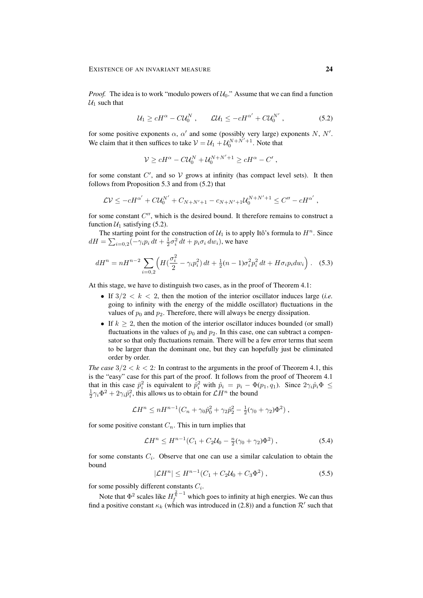*Proof.* The idea is to work "modulo powers of  $U_0$ ." Assume that we can find a function  $U_1$  such that

$$
\mathcal{U}_1 \ge cH^{\alpha} - C\mathcal{U}_0^N \,, \qquad \mathcal{L}\mathcal{U}_1 \le -cH^{\alpha'} + C\mathcal{U}_0^{N'} \,, \tag{5.2}
$$

for some positive exponents  $\alpha$ ,  $\alpha'$  and some (possibly very large) exponents N, N'. We claim that it then suffices to take  $V = U_1 + U_0^{N+N'+1}$ . Note that

$$
\mathcal{V} \ge cH^{\alpha} - C\mathcal{U}_0^N + \mathcal{U}_0^{N+N'+1} \ge cH^{\alpha} - C' ,
$$

for some constant  $C'$ , and so  $V$  grows at infinity (has compact level sets). It then follows from Proposition 5.3 and from (5.2) that

$$
\mathcal{L}\mathcal{V} \le -cH^{\alpha'} + C\mathcal{U}_0^{N'} + C_{N+N'+1} - c_{N+N'+1}\mathcal{U}_0^{N+N'+1} \le C'' - cH^{\alpha'},
$$

for some constant  $C''$ , which is the desired bound. It therefore remains to construct a function  $U_1$  satisfying (5.2).

The starting point for the construction of  $\mathcal{U}_1$  is to apply Itô's formula to  $H^n$ . Since  $dH = \sum_{i=0,2} (-\gamma_i p_i dt + \frac{1}{2} \sigma_i^2 dt + p_i \sigma_i dw_i)$ , we have

$$
dH^{n} = nH^{n-2} \sum_{i=0,2} \left( H\left(\frac{\sigma_i^2}{2} - \gamma_i p_i^2\right) dt + \frac{1}{2} (n-1) \sigma_i^2 p_i^2 dt + H \sigma_i p_i dw_i \right). \tag{5.3}
$$

At this stage, we have to distinguish two cases, as in the proof of Theorem 4.1:

- If  $3/2 < k < 2$ , then the motion of the interior oscillator induces large *(i.e.*) going to infinity with the energy of the middle oscillator) fluctuations in the values of  $p_0$  and  $p_2$ . Therefore, there will always be energy dissipation.
- If  $k \geq 2$ , then the motion of the interior oscillator induces bounded (or small) fluctuations in the values of  $p_0$  and  $p_2$ . In this case, one can subtract a compensator so that only fluctuations remain. There will be a few error terms that seem to be larger than the dominant one, but they can hopefully just be eliminated order by order.

*The case*  $3/2 < k < 2$ : In contrast to the arguments in the proof of Theorem 4.1, this is the "easy" case for this part of the proof. It follows from the proof of Theorem 4.1 that in this case  $\bar{p}_i^2$  is equivalent to  $\hat{p}_i^2$  with  $\hat{p}_i = p_i - \Phi(p_1, q_1)$ . Since  $2\gamma_i \hat{p}_i \Phi \leq$  $\frac{1}{2}\gamma_i \Phi^2 + 2\gamma_i \hat{p}_i^2$ , this allows us to obtain for  $\mathcal{L}H^n$  the bound

$$
\mathcal{L}H^{n} \leq nH^{n-1}(C_n + \gamma_0 \hat{p}_0^2 + \gamma_2 \hat{p}_2^2 - \frac{1}{2}(\gamma_0 + \gamma_2)\Phi^2),
$$

for some positive constant  $C_n$ . This in turn implies that

$$
\mathcal{L}H^n \le H^{n-1}(C_1 + C_2\mathcal{U}_0 - \frac{n}{2}(\gamma_0 + \gamma_2)\Phi^2), \qquad (5.4)
$$

for some constants  $C_i$ . Observe that one can use a similar calculation to obtain the bound

$$
|\mathcal{L}H^n| \le H^{n-1}(C_1 + C_2\mathcal{U}_0 + C_3\Phi^2) ,\qquad (5.5)
$$

for some possibly different constants  $C_i$ .

Note that  $\Phi^2$  scales like  $H_f^{\frac{2}{k}-1}$  which goes to infinity at high energies. We can thus find a positive constant  $\kappa_k$  (which was introduced in (2.8)) and a function  $\mathcal{R}'$  such that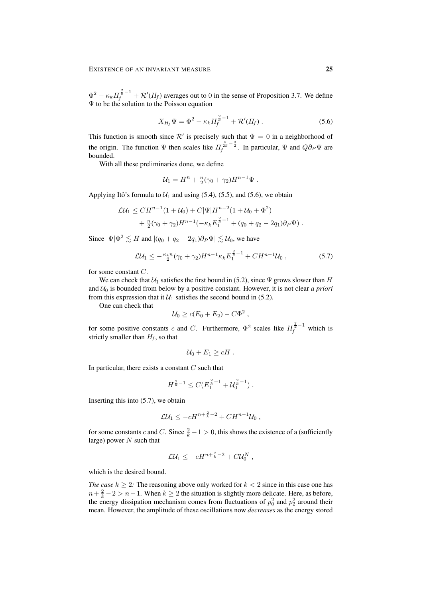$\Phi^2 - \kappa_k H_f^{\frac{2}{k}-1} + \mathcal{R}'(H_f)$  averages out to 0 in the sense of Proposition 3.7. We define Ψ to be the solution to the Poisson equation

$$
X_{H_f} \Psi = \Phi^2 - \kappa_k H_f^{\frac{2}{k} - 1} + \mathcal{R}'(H_f).
$$
 (5.6)

This function is smooth since  $\mathcal{R}'$  is precisely such that  $\Psi = 0$  in a neighborhood of the origin. The function  $\Psi$  then scales like  $H_f^{\frac{5}{2k}-\frac{3}{2}}$ . In particular,  $\Psi$  and  $Q\partial_P\Psi$  are bounded.

With all these preliminaries done, we define

$$
U_1 = H^n + \frac{n}{2}(\gamma_0 + \gamma_2)H^{n-1}\Psi.
$$

Applying Itô's formula to  $U_1$  and using (5.4), (5.5), and (5.6), we obtain

$$
\mathcal{L}U_1 \leq CH^{n-1}(1+\mathcal{U}_0) + C|\Psi|H^{n-2}(1+\mathcal{U}_0 + \Phi^2) \n+ \frac{n}{2}(\gamma_0 + \gamma_2)H^{n-1}(-\kappa_k E_1^{\frac{2}{k}-1} + (q_0 + q_2 - 2q_1)\partial_P\Psi).
$$

Since  $|\Psi|\Phi^2 \lesssim H$  and  $|(q_0 + q_2 - 2q_1)\partial_P \Psi| \lesssim \mathcal{U}_0$ , we have

$$
\mathcal{L}\mathcal{U}_1 \le -\frac{\kappa_k n}{2} (\gamma_0 + \gamma_2) H^{n-1} \kappa_k E_1^{\frac{2}{k}-1} + C H^{n-1} \mathcal{U}_0 , \qquad (5.7)
$$

for some constant C.

We can check that  $U_1$  satisfies the first bound in (5.2), since  $\Psi$  grows slower than H and  $U_0$  is bounded from below by a positive constant. However, it is not clear *a priori* from this expression that it  $U_1$  satisfies the second bound in (5.2).

One can check that

$$
U_0 \geq c(E_0 + E_2) - C\Phi^2,
$$

for some positive constants c and C. Furthermore,  $\Phi^2$  scales like  $H_f^{\frac{2}{\kappa}-1}$  which is strictly smaller than  $H_f$ , so that

$$
U_0 + E_1 \ge cH.
$$

In particular, there exists a constant  $C$  such that

$$
H^{\frac{2}{k}-1} \leq C(E_1^{\frac{2}{k}-1} + \mathcal{U}_0^{\frac{2}{k}-1}).
$$

Inserting this into  $(5.7)$ , we obtain

$$
\mathcal{L}\mathcal{U}_1 \leq -cH^{n+\frac{2}{k}-2} + CH^{n-1}\mathcal{U}_0,
$$

for some constants c and C. Since  $\frac{2}{k} - 1 > 0$ , this shows the existence of a (sufficiently large) power  $N$  such that

$$
\mathcal{L}\mathcal{U}_1 \leq -cH^{n+\frac{2}{k}-2} + C\mathcal{U}_0^N,
$$

which is the desired bound.

*The case*  $k \geq 2$ *:* The reasoning above only worked for  $k < 2$  since in this case one has  $n + \frac{2}{k} - 2 > n - 1$ . When  $k \ge 2$  the situation is slightly more delicate. Here, as before, the energy dissipation mechanism comes from fluctuations of  $p_0^2$  and  $p_2^2$  around their mean. However, the amplitude of these oscillations now *decreases* as the energy stored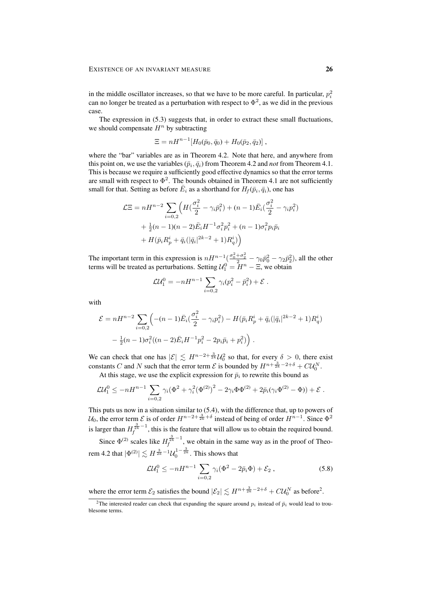in the middle oscillator increases, so that we have to be more careful. In particular,  $p_i^2$ can no longer be treated as a perturbation with respect to  $\Phi^2$ , as we did in the previous case.

The expression in (5.3) suggests that, in order to extract these small fluctuations, we should compensate  $H<sup>n</sup>$  by subtracting

$$
\Xi = nH^{n-1}[H_0(\bar{p}_0, \bar{q}_0) + H_0(\bar{p}_2, \bar{q}_2)],
$$

where the "bar" variables are as in Theorem 4.2. Note that here, and anywhere from this point on, we use the variables  $(\bar{p}_i, \bar{q}_i)$  from Theorem 4.2 and *not* from Theorem 4.1. This is because we require a sufficiently good effective dynamics so that the error terms are small with respect to  $\Phi^2$ . The bounds obtained in Theorem 4.1 are not sufficiently small for that. Setting as before  $\bar{E}_i$  as a shorthand for  $H_f(\bar{p}_i, \bar{q}_i)$ , one has

$$
\mathcal{L}\Xi = nH^{n-2} \sum_{i=0,2} \left( H(\frac{\sigma_i^2}{2} - \gamma_i \bar{p}_i^2) + (n-1)\bar{E}_i(\frac{\sigma_i^2}{2} - \gamma_i p_i^2) + \frac{1}{2}(n-1)(n-2)\bar{E}_i H^{-1}\sigma_i^2 p_i^2 + (n-1)\sigma_i^2 p_i \bar{p}_i + H(\bar{p}_i R_p^i + \bar{q}_i(|\bar{q}_i|^{2k-2} + 1)R_q^i) \right)
$$

The important term in this expression is  $nH^{n-1}(\frac{\sigma_0^2+\sigma_2^2}{2}-\gamma_0\bar{p}_0^2-\gamma_2\bar{p}_2^2)$ , all the other terms will be treated as perturbations. Setting  $\mathcal{U}_1^0 = \overline{H}^n - \Xi$ , we obtain

$$
\mathcal{L}U_1^0 = -nH^{n-1} \sum_{i=0,2} \gamma_i (p_i^2 - \bar{p}_i^2) + \mathcal{E}.
$$

with

$$
\mathcal{E} = nH^{n-2} \sum_{i=0,2} \left( -(n-1)\bar{E}_i \left( \frac{\sigma_i^2}{2} - \gamma_i p_i^2 \right) - H(\bar{p}_i R_p^i + \bar{q}_i (|\bar{q}_i|^{2k-2} + 1) R_q^i) \right. \\ - \frac{1}{2} (n-1)\sigma_i^2 ((n-2)\bar{E}_i H^{-1} p_i^2 - 2p_i \bar{p}_i + p_i^2) \right).
$$

We can check that one has  $|\mathcal{E}| \lesssim H^{n-2+\frac{3}{2k}} \mathcal{U}_0^2$  so that, for every  $\delta > 0$ , there exist constants C and N such that the error term E is bounded by  $H^{n+\frac{3}{2k}-2+\delta} + C\mathcal{U}_0^N$ .

At this stage, we use the explicit expression for  $\bar{p}_i$  to rewrite this bound as

$$
\mathcal{L} \mathcal{U}_1^0 \leq -n H^{n-1} \sum_{i=0,2} \gamma_i (\Phi^2 + \gamma_i^2 (\Phi^{(2)})^2 - 2\gamma_i \Phi \Phi^{(2)} + 2\bar{p}_i (\gamma_i \Phi^{(2)} - \Phi)) + \mathcal{E}.
$$

This puts us now in a situation similar to (5.4), with the difference that, up to powers of  $\mathcal{U}_0$ , the error term  $\mathcal{E}$  is of order  $H^{n-2+\frac{3}{2k}+\delta}$  instead of being of order  $H^{n-1}$ . Since  $\Phi^2$ is larger than  $H_f^{\frac{3}{2k}-1}$ , this is the feature that will allow us to obtain the required bound. Since  $\Phi^{(2)}$  scales like  $H_f^{\frac{3}{2k}-1}$ , we obtain in the same way as in the proof of Theorem 4.2 that  $|\Phi^{(2)}| \lesssim H^{\frac{3}{2k}-1}\mathcal{U}_0^{1-\frac{3}{2k}}.$  This shows that

$$
\mathcal{L} \mathcal{U}_1^0 \le -n H^{n-1} \sum_{i=0,2} \gamma_i (\Phi^2 - 2\bar{p}_i \Phi) + \mathcal{E}_2 , \qquad (5.8)
$$

where the error term  $\mathcal{E}_2$  satisfies the bound  $|\mathcal{E}_2| \lesssim H^{n + \frac{3}{2k} - 2 + \delta} + C\mathcal{U}_0^N$  as before<sup>2</sup>.

<sup>&</sup>lt;sup>2</sup>The interested reader can check that expanding the square around  $p_i$  instead of  $\bar{p}_i$  would lead to troublesome terms.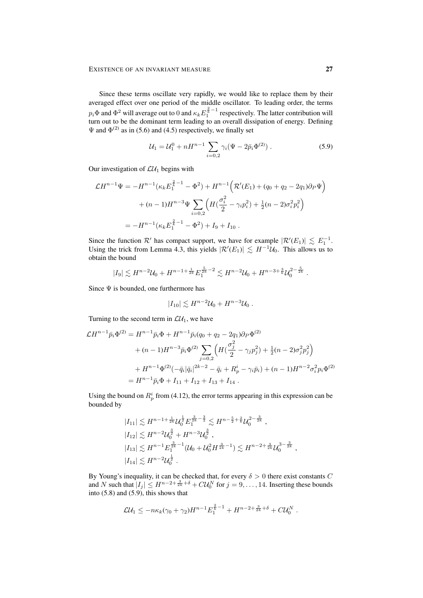Since these terms oscillate very rapidly, we would like to replace them by their averaged effect over one period of the middle oscillator. To leading order, the terms  $p_i\Phi$  and  $\Phi^2$  will average out to 0 and  $\kappa_k E^{\frac{2}{k}-1}_1$  respectively. The latter contribution will turn out to be the dominant term leading to an overall dissipation of energy. Defining  $\Psi$  and  $\Phi^{(2)}$  as in (5.6) and (4.5) respectively, we finally set

$$
\mathcal{U}_1 = \mathcal{U}_1^0 + nH^{n-1} \sum_{i=0,2} \gamma_i (\Psi - 2\bar{p}_i \Phi^{(2)}) \,. \tag{5.9}
$$

Our investigation of  $\mathcal{L}U_1$  begins with

$$
\mathcal{L}H^{n-1}\Psi = -H^{n-1}(\kappa_k E_1^{\frac{2}{k}-1} - \Phi^2) + H^{n-1}\Big(\mathcal{R}'(E_1) + (q_0 + q_2 - 2q_1)\partial_P\Psi\Big) + (n-1)H^{n-3}\Psi \sum_{i=0,2} \Big(H\big(\frac{\sigma_i^2}{2} - \gamma_i p_i^2\big) + \frac{1}{2}(n-2)\sigma_i^2 p_i^2\Big) = -H^{n-1}(\kappa_k E_1^{\frac{2}{k}-1} - \Phi^2) + I_9 + I_{10} .
$$

Since the function  $\mathcal{R}'$  has compact support, we have for example  $|\mathcal{R}'(E_1)| \lesssim E_1^{-1}$ . Using the trick from Lemma 4.3, this yields  $|\mathcal{R}'(E_1)| \lesssim H^{-1}U_0$ . This allows us to obtain the bound

$$
|I_9| \lesssim H^{n-2} \mathcal{U}_0 + H^{n-1 + \frac{1}{2k}} E_1^{\frac{5}{2k} - 2} \lesssim H^{n-2} \mathcal{U}_0 + H^{n-3 + \frac{3}{k}} \mathcal{U}_0^{2 - \frac{5}{2k}}
$$

Since  $\Psi$  is bounded, one furthermore has

$$
|I_{10}| \lesssim H^{n-2} \mathcal{U}_0 + H^{n-3} \mathcal{U}_0.
$$

Turning to the second term in  $\mathcal{L}U_1$ , we have

$$
\mathcal{L}H^{n-1}\bar{p}_i\Phi^{(2)} = H^{n-1}\bar{p}_i\Phi + H^{n-1}\bar{p}_i(q_0 + q_2 - 2q_1)\partial_P\Phi^{(2)}
$$
  
+  $(n-1)H^{n-3}\bar{p}_i\Phi^{(2)} \sum_{j=0,2} \left( H(\frac{\sigma_j^2}{2} - \gamma_j p_j^2) + \frac{1}{2}(n-2)\sigma_j^2 p_j^2 \right)$   
+  $H^{n-1}\Phi^{(2)}(-\bar{q}_i|\bar{q}_i|^{2k-2} - \bar{q}_i + R_p^i - \gamma_i\bar{p}_i) + (n-1)H^{n-2}\sigma_i^2 p_i\Phi^{(2)}$   
=  $H^{n-1}\bar{p}_i\Phi + I_{11} + I_{12} + I_{13} + I_{14}$ .

Using the bound on  $R_p^i$  from (4.12), the error terms appearing in this expression can be bounded by

$$
|I_{11}| \lesssim H^{n-1+\frac{1}{2k}} \mathcal{U}_0^{\frac{1}{2}} E_{1}^{\frac{3}{2k}-\frac{3}{2}} \lesssim H^{n-\frac{5}{2}+\frac{2}{k}} \mathcal{U}_0^{2-\frac{3}{2k}},
$$
  
\n
$$
|I_{12}| \lesssim H^{n-2} \mathcal{U}_0^{\frac{3}{2}} + H^{n-3} \mathcal{U}_0^{\frac{3}{2}},
$$
  
\n
$$
|I_{13}| \lesssim H^{n-1} E_{1}^{\frac{3}{2k}-1} (\mathcal{U}_0 + \mathcal{U}_0^2 H^{\frac{3}{2k}-1}) \lesssim H^{n-2+\frac{3}{2k}} \mathcal{U}_0^{3-\frac{3}{2k}}
$$
  
\n
$$
|I_{14}| \lesssim H^{n-2} \mathcal{U}_0^{\frac{1}{2}}.
$$

By Young's inequality, it can be checked that, for every  $\delta > 0$  there exist constants C and N such that  $|I_j| \le H^{n-2+\frac{3}{2k}+\delta} + C\mathcal{U}_0^N$  for  $j = 9, \ldots, 14$ . Inserting these bounds into  $(5.8)$  and  $(5.9)$ , this shows that

$$
\mathcal{L}\mathcal{U}_1 \leq -n\kappa_k(\gamma_0 + \gamma_2)H^{n-1}E_1^{\frac{2}{k}-1} + H^{n-2+\frac{3}{2k}+\delta} + C\mathcal{U}_0^N.
$$

.

,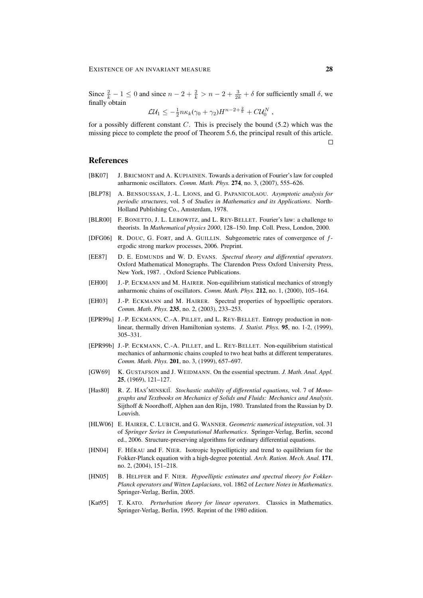Since  $\frac{2}{k} - 1 \le 0$  and since  $n - 2 + \frac{2}{k} > n - 2 + \frac{3}{2k} + \delta$  for sufficiently small  $\delta$ , we finally obtain

$$
\mathcal{L}\mathcal{U}_1 \leq -\frac{1}{2}n\kappa_k(\gamma_0 + \gamma_2)H^{n-2+\frac{2}{k}} + C\mathcal{U}_0^N,
$$

for a possibly different constant  $C$ . This is precisely the bound  $(5.2)$  which was the missing piece to complete the proof of Theorem 5.6, the principal result of this article.  $\Box$ 

## References

- [BK07] J. BRICMONT and A. KUPIAINEN. Towards a derivation of Fourier's law for coupled anharmonic oscillators. *Comm. Math. Phys.* 274, no. 3, (2007), 555–626.
- [BLP78] A. BENSOUSSAN, J.-L. LIONS, and G. PAPANICOLAOU. *Asymptotic analysis for periodic structures*, vol. 5 of *Studies in Mathematics and its Applications*. North-Holland Publishing Co., Amsterdam, 1978.
- [BLR00] F. BONETTO, J. L. LEBOWITZ, and L. REY-BELLET. Fourier's law: a challenge to theorists. In *Mathematical physics 2000*, 128–150. Imp. Coll. Press, London, 2000.
- [DFG06] R. DOUC, G. FORT, and A. GUILLIN. Subgeometric rates of convergence of fergodic strong markov processes, 2006. Preprint.
- [EE87] D. E. EDMUNDS and W. D. EVANS. *Spectral theory and differential operators*. Oxford Mathematical Monographs. The Clarendon Press Oxford University Press, New York, 1987. , Oxford Science Publications.
- [EH00] J.-P. ECKMANN and M. HAIRER. Non-equilibrium statistical mechanics of strongly anharmonic chains of oscillators. *Comm. Math. Phys.* 212, no. 1, (2000), 105–164.
- [EH03] J.-P. ECKMANN and M. HAIRER. Spectral properties of hypoelliptic operators. *Comm. Math. Phys.* 235, no. 2, (2003), 233–253.
- [EPR99a] J.-P. ECKMANN, C.-A. PILLET, and L. REY-BELLET. Entropy production in nonlinear, thermally driven Hamiltonian systems. *J. Statist. Phys.* 95, no. 1-2, (1999), 305–331.
- [EPR99b] J.-P. ECKMANN, C.-A. PILLET, and L. REY-BELLET. Non-equilibrium statistical mechanics of anharmonic chains coupled to two heat baths at different temperatures. *Comm. Math. Phys.* 201, no. 3, (1999), 657–697.
- [GW69] K. GUSTAFSON and J. WEIDMANN. On the essential spectrum. *J. Math. Anal. Appl.* 25, (1969), 121–127.
- [Has80] R. Z. HAS'MINSKII. Stochastic stability of differential equations, vol. 7 of Mono*graphs and Textbooks on Mechanics of Solids and Fluids: Mechanics and Analysis*. Sijthoff & Noordhoff, Alphen aan den Rijn, 1980. Translated from the Russian by D. Louvish.
- [HLW06] E. HAIRER, C. LUBICH, and G. WANNER. *Geometric numerical integration*, vol. 31 of *Springer Series in Computational Mathematics*. Springer-Verlag, Berlin, second ed., 2006. Structure-preserving algorithms for ordinary differential equations.
- [HN04] F. HÉRAU and F. NIER. Isotropic hypoellipticity and trend to equilibrium for the Fokker-Planck equation with a high-degree potential. *Arch. Ration. Mech. Anal.* 171, no. 2, (2004), 151–218.
- [HN05] B. HELFFER and F. NIER. *Hypoelliptic estimates and spectral theory for Fokker-Planck operators and Witten Laplacians*, vol. 1862 of *Lecture Notes in Mathematics*. Springer-Verlag, Berlin, 2005.
- [Kat95] T. KATO. *Perturbation theory for linear operators*. Classics in Mathematics. Springer-Verlag, Berlin, 1995. Reprint of the 1980 edition.